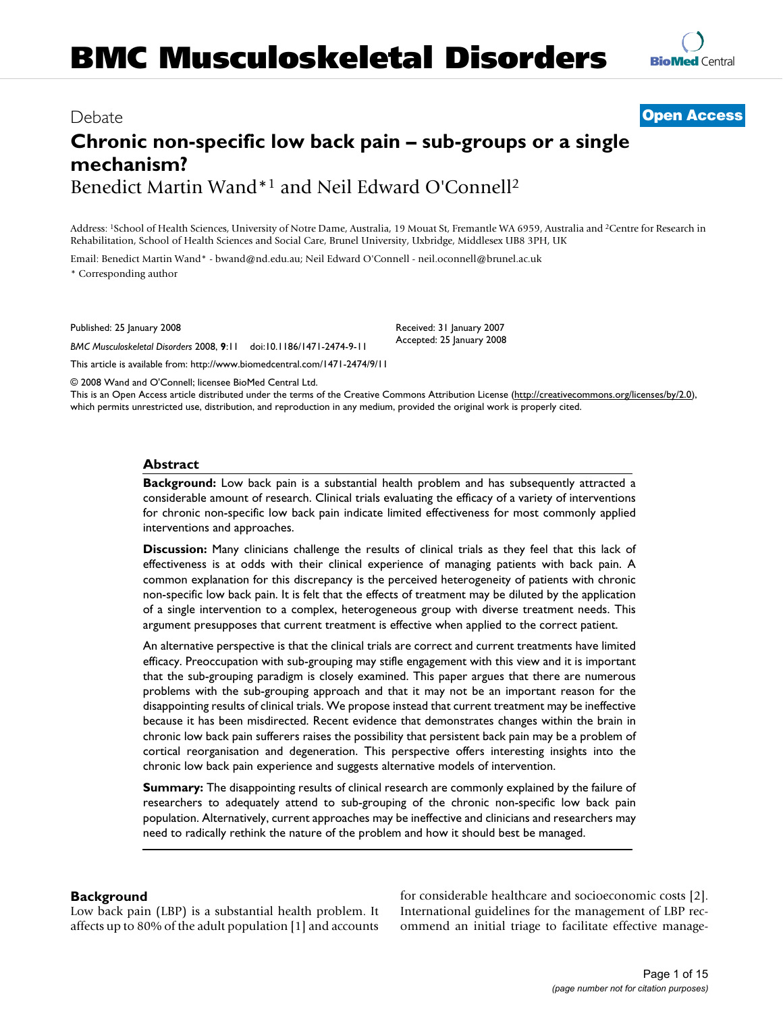# **BMC Musculoskeletal Disorders**



# **Chronic non-specific low back pain – sub-groups or a single mechanism?** Benedict Martin Wand\*1 and Neil Edward O'Connell2

Address: 1School of Health Sciences, University of Notre Dame, Australia, 19 Mouat St, Fremantle WA 6959, Australia and 2Centre for Research in Rehabilitation, School of Health Sciences and Social Care, Brunel University, Uxbridge, Middlesex UB8 3PH, UK

Email: Benedict Martin Wand\* - bwand@nd.edu.au; Neil Edward O'Connell - neil.oconnell@brunel.ac.uk

\* Corresponding author

Published: 25 January 2008

*BMC Musculoskeletal Disorders* 2008, **9**:11 doi:10.1186/1471-2474-9-11

[This article is available from: http://www.biomedcentral.com/1471-2474/9/11](http://www.biomedcentral.com/1471-2474/9/11)

© 2008 Wand and O'Connell; licensee BioMed Central Ltd.

This is an Open Access article distributed under the terms of the Creative Commons Attribution License [\(http://creativecommons.org/licenses/by/2.0\)](http://creativecommons.org/licenses/by/2.0), which permits unrestricted use, distribution, and reproduction in any medium, provided the original work is properly cited.

Received: 31 January 2007 Accepted: 25 January 2008

# **Abstract**

**Background:** Low back pain is a substantial health problem and has subsequently attracted a considerable amount of research. Clinical trials evaluating the efficacy of a variety of interventions for chronic non-specific low back pain indicate limited effectiveness for most commonly applied interventions and approaches.

**Discussion:** Many clinicians challenge the results of clinical trials as they feel that this lack of effectiveness is at odds with their clinical experience of managing patients with back pain. A common explanation for this discrepancy is the perceived heterogeneity of patients with chronic non-specific low back pain. It is felt that the effects of treatment may be diluted by the application of a single intervention to a complex, heterogeneous group with diverse treatment needs. This argument presupposes that current treatment is effective when applied to the correct patient.

An alternative perspective is that the clinical trials are correct and current treatments have limited efficacy. Preoccupation with sub-grouping may stifle engagement with this view and it is important that the sub-grouping paradigm is closely examined. This paper argues that there are numerous problems with the sub-grouping approach and that it may not be an important reason for the disappointing results of clinical trials. We propose instead that current treatment may be ineffective because it has been misdirected. Recent evidence that demonstrates changes within the brain in chronic low back pain sufferers raises the possibility that persistent back pain may be a problem of cortical reorganisation and degeneration. This perspective offers interesting insights into the chronic low back pain experience and suggests alternative models of intervention.

**Summary:** The disappointing results of clinical research are commonly explained by the failure of researchers to adequately attend to sub-grouping of the chronic non-specific low back pain population. Alternatively, current approaches may be ineffective and clinicians and researchers may need to radically rethink the nature of the problem and how it should best be managed.

# **Background**

Low back pain (LBP) is a substantial health problem. It affects up to 80% of the adult population [1] and accounts for considerable healthcare and socioeconomic costs [2]. International guidelines for the management of LBP recommend an initial triage to facilitate effective manage-

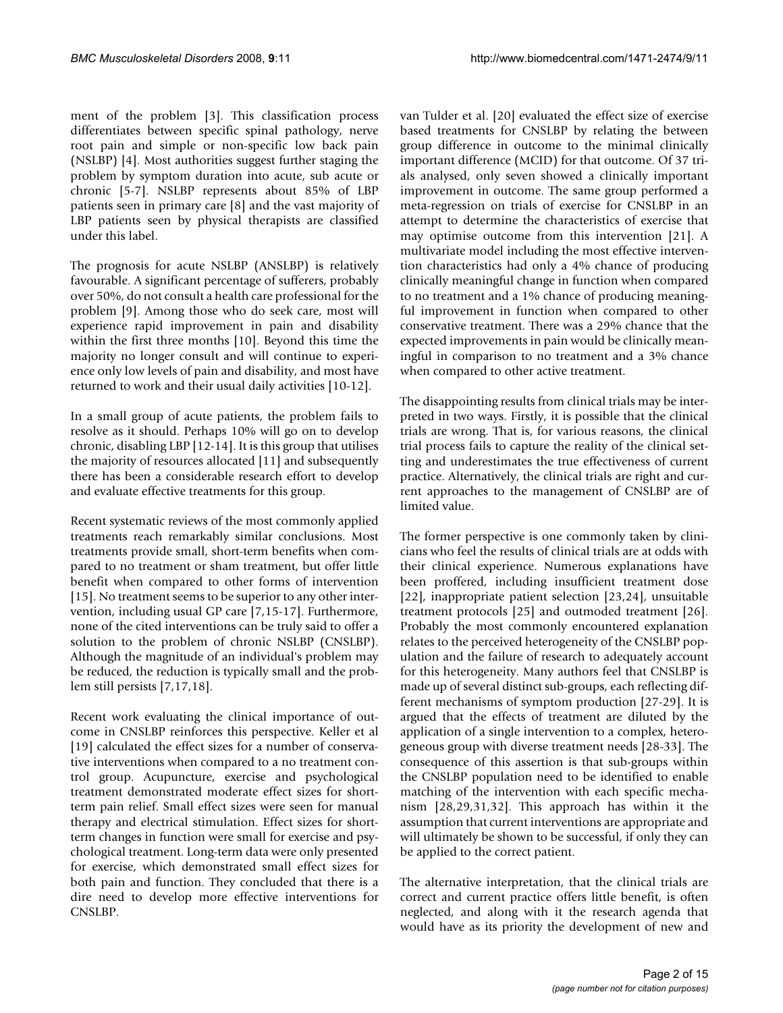ment of the problem [3]. This classification process differentiates between specific spinal pathology, nerve root pain and simple or non-specific low back pain (NSLBP) [4]. Most authorities suggest further staging the problem by symptom duration into acute, sub acute or chronic [5-7]. NSLBP represents about 85% of LBP patients seen in primary care [8] and the vast majority of LBP patients seen by physical therapists are classified under this label.

The prognosis for acute NSLBP (ANSLBP) is relatively favourable. A significant percentage of sufferers, probably over 50%, do not consult a health care professional for the problem [9]. Among those who do seek care, most will experience rapid improvement in pain and disability within the first three months [10]. Beyond this time the majority no longer consult and will continue to experience only low levels of pain and disability, and most have returned to work and their usual daily activities [10-12].

In a small group of acute patients, the problem fails to resolve as it should. Perhaps 10% will go on to develop chronic, disabling LBP [12-14]. It is this group that utilises the majority of resources allocated [11] and subsequently there has been a considerable research effort to develop and evaluate effective treatments for this group.

Recent systematic reviews of the most commonly applied treatments reach remarkably similar conclusions. Most treatments provide small, short-term benefits when compared to no treatment or sham treatment, but offer little benefit when compared to other forms of intervention [15]. No treatment seems to be superior to any other intervention, including usual GP care [7,15-17]. Furthermore, none of the cited interventions can be truly said to offer a solution to the problem of chronic NSLBP (CNSLBP). Although the magnitude of an individual's problem may be reduced, the reduction is typically small and the problem still persists [7,17,18].

Recent work evaluating the clinical importance of outcome in CNSLBP reinforces this perspective. Keller et al [19] calculated the effect sizes for a number of conservative interventions when compared to a no treatment control group. Acupuncture, exercise and psychological treatment demonstrated moderate effect sizes for shortterm pain relief. Small effect sizes were seen for manual therapy and electrical stimulation. Effect sizes for shortterm changes in function were small for exercise and psychological treatment. Long-term data were only presented for exercise, which demonstrated small effect sizes for both pain and function. They concluded that there is a dire need to develop more effective interventions for CNSLBP.

van Tulder et al. [20] evaluated the effect size of exercise based treatments for CNSLBP by relating the between group difference in outcome to the minimal clinically important difference (MCID) for that outcome. Of 37 trials analysed, only seven showed a clinically important improvement in outcome. The same group performed a meta-regression on trials of exercise for CNSLBP in an attempt to determine the characteristics of exercise that may optimise outcome from this intervention [21]. A multivariate model including the most effective intervention characteristics had only a 4% chance of producing clinically meaningful change in function when compared to no treatment and a 1% chance of producing meaningful improvement in function when compared to other conservative treatment. There was a 29% chance that the expected improvements in pain would be clinically meaningful in comparison to no treatment and a 3% chance when compared to other active treatment.

The disappointing results from clinical trials may be interpreted in two ways. Firstly, it is possible that the clinical trials are wrong. That is, for various reasons, the clinical trial process fails to capture the reality of the clinical setting and underestimates the true effectiveness of current practice. Alternatively, the clinical trials are right and current approaches to the management of CNSLBP are of limited value.

The former perspective is one commonly taken by clinicians who feel the results of clinical trials are at odds with their clinical experience. Numerous explanations have been proffered, including insufficient treatment dose [22], inappropriate patient selection [23,24], unsuitable treatment protocols [25] and outmoded treatment [26]. Probably the most commonly encountered explanation relates to the perceived heterogeneity of the CNSLBP population and the failure of research to adequately account for this heterogeneity. Many authors feel that CNSLBP is made up of several distinct sub-groups, each reflecting different mechanisms of symptom production [27-29]. It is argued that the effects of treatment are diluted by the application of a single intervention to a complex, heterogeneous group with diverse treatment needs [28-33]. The consequence of this assertion is that sub-groups within the CNSLBP population need to be identified to enable matching of the intervention with each specific mechanism [28,29,31,32]. This approach has within it the assumption that current interventions are appropriate and will ultimately be shown to be successful, if only they can be applied to the correct patient.

The alternative interpretation, that the clinical trials are correct and current practice offers little benefit, is often neglected, and along with it the research agenda that would have as its priority the development of new and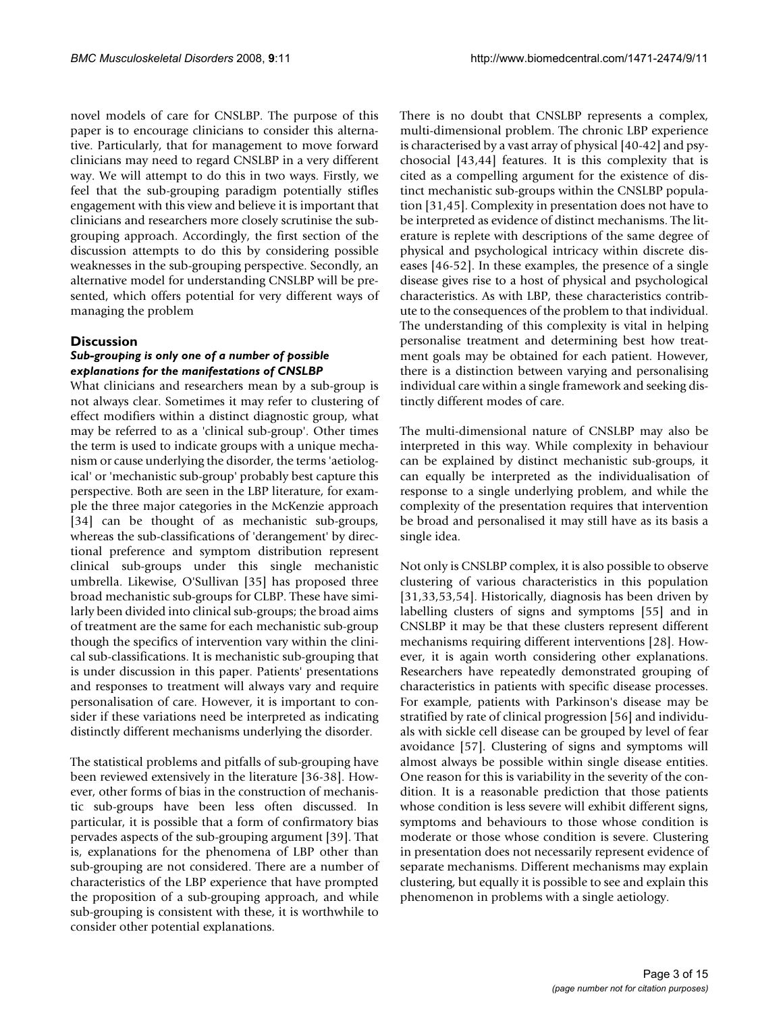novel models of care for CNSLBP. The purpose of this paper is to encourage clinicians to consider this alternative. Particularly, that for management to move forward clinicians may need to regard CNSLBP in a very different way. We will attempt to do this in two ways. Firstly, we feel that the sub-grouping paradigm potentially stifles engagement with this view and believe it is important that clinicians and researchers more closely scrutinise the subgrouping approach. Accordingly, the first section of the discussion attempts to do this by considering possible weaknesses in the sub-grouping perspective. Secondly, an alternative model for understanding CNSLBP will be presented, which offers potential for very different ways of managing the problem

#### **Discussion**

#### *Sub-grouping is only one of a number of possible explanations for the manifestations of CNSLBP*

What clinicians and researchers mean by a sub-group is not always clear. Sometimes it may refer to clustering of effect modifiers within a distinct diagnostic group, what may be referred to as a 'clinical sub-group'. Other times the term is used to indicate groups with a unique mechanism or cause underlying the disorder, the terms 'aetiological' or 'mechanistic sub-group' probably best capture this perspective. Both are seen in the LBP literature, for example the three major categories in the McKenzie approach [34] can be thought of as mechanistic sub-groups, whereas the sub-classifications of 'derangement' by directional preference and symptom distribution represent clinical sub-groups under this single mechanistic umbrella. Likewise, O'Sullivan [35] has proposed three broad mechanistic sub-groups for CLBP. These have similarly been divided into clinical sub-groups; the broad aims of treatment are the same for each mechanistic sub-group though the specifics of intervention vary within the clinical sub-classifications. It is mechanistic sub-grouping that is under discussion in this paper. Patients' presentations and responses to treatment will always vary and require personalisation of care. However, it is important to consider if these variations need be interpreted as indicating distinctly different mechanisms underlying the disorder.

The statistical problems and pitfalls of sub-grouping have been reviewed extensively in the literature [36-38]. However, other forms of bias in the construction of mechanistic sub-groups have been less often discussed. In particular, it is possible that a form of confirmatory bias pervades aspects of the sub-grouping argument [39]. That is, explanations for the phenomena of LBP other than sub-grouping are not considered. There are a number of characteristics of the LBP experience that have prompted the proposition of a sub-grouping approach, and while sub-grouping is consistent with these, it is worthwhile to consider other potential explanations.

There is no doubt that CNSLBP represents a complex, multi-dimensional problem. The chronic LBP experience is characterised by a vast array of physical [40-42] and psychosocial [43,44] features. It is this complexity that is cited as a compelling argument for the existence of distinct mechanistic sub-groups within the CNSLBP population [31,45]. Complexity in presentation does not have to be interpreted as evidence of distinct mechanisms. The literature is replete with descriptions of the same degree of physical and psychological intricacy within discrete diseases [46-52]. In these examples, the presence of a single disease gives rise to a host of physical and psychological characteristics. As with LBP, these characteristics contribute to the consequences of the problem to that individual. The understanding of this complexity is vital in helping personalise treatment and determining best how treatment goals may be obtained for each patient. However, there is a distinction between varying and personalising individual care within a single framework and seeking distinctly different modes of care.

The multi-dimensional nature of CNSLBP may also be interpreted in this way. While complexity in behaviour can be explained by distinct mechanistic sub-groups, it can equally be interpreted as the individualisation of response to a single underlying problem, and while the complexity of the presentation requires that intervention be broad and personalised it may still have as its basis a single idea.

Not only is CNSLBP complex, it is also possible to observe clustering of various characteristics in this population [31,33,53,54]. Historically, diagnosis has been driven by labelling clusters of signs and symptoms [55] and in CNSLBP it may be that these clusters represent different mechanisms requiring different interventions [28]. However, it is again worth considering other explanations. Researchers have repeatedly demonstrated grouping of characteristics in patients with specific disease processes. For example, patients with Parkinson's disease may be stratified by rate of clinical progression [56] and individuals with sickle cell disease can be grouped by level of fear avoidance [57]. Clustering of signs and symptoms will almost always be possible within single disease entities. One reason for this is variability in the severity of the condition. It is a reasonable prediction that those patients whose condition is less severe will exhibit different signs, symptoms and behaviours to those whose condition is moderate or those whose condition is severe. Clustering in presentation does not necessarily represent evidence of separate mechanisms. Different mechanisms may explain clustering, but equally it is possible to see and explain this phenomenon in problems with a single aetiology.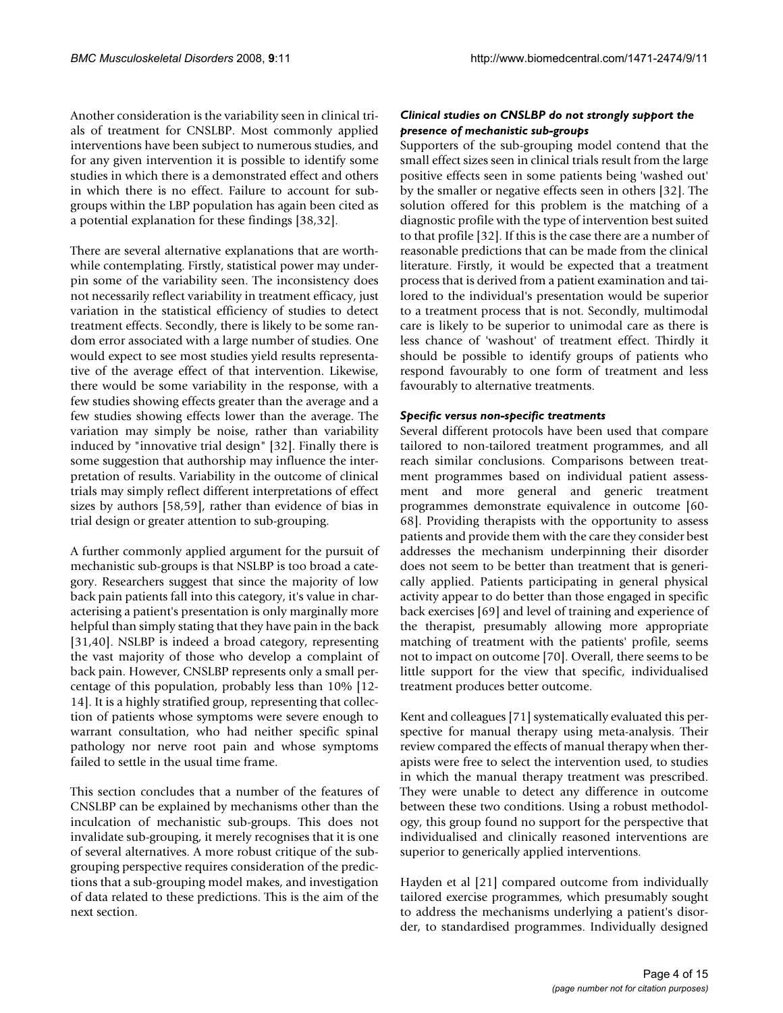Another consideration is the variability seen in clinical trials of treatment for CNSLBP. Most commonly applied interventions have been subject to numerous studies, and for any given intervention it is possible to identify some studies in which there is a demonstrated effect and others in which there is no effect. Failure to account for subgroups within the LBP population has again been cited as a potential explanation for these findings [38,32].

There are several alternative explanations that are worthwhile contemplating. Firstly, statistical power may underpin some of the variability seen. The inconsistency does not necessarily reflect variability in treatment efficacy, just variation in the statistical efficiency of studies to detect treatment effects. Secondly, there is likely to be some random error associated with a large number of studies. One would expect to see most studies yield results representative of the average effect of that intervention. Likewise, there would be some variability in the response, with a few studies showing effects greater than the average and a few studies showing effects lower than the average. The variation may simply be noise, rather than variability induced by "innovative trial design" [32]. Finally there is some suggestion that authorship may influence the interpretation of results. Variability in the outcome of clinical trials may simply reflect different interpretations of effect sizes by authors [58,59], rather than evidence of bias in trial design or greater attention to sub-grouping.

A further commonly applied argument for the pursuit of mechanistic sub-groups is that NSLBP is too broad a category. Researchers suggest that since the majority of low back pain patients fall into this category, it's value in characterising a patient's presentation is only marginally more helpful than simply stating that they have pain in the back [31,40]. NSLBP is indeed a broad category, representing the vast majority of those who develop a complaint of back pain. However, CNSLBP represents only a small percentage of this population, probably less than 10% [12- 14]. It is a highly stratified group, representing that collection of patients whose symptoms were severe enough to warrant consultation, who had neither specific spinal pathology nor nerve root pain and whose symptoms failed to settle in the usual time frame.

This section concludes that a number of the features of CNSLBP can be explained by mechanisms other than the inculcation of mechanistic sub-groups. This does not invalidate sub-grouping, it merely recognises that it is one of several alternatives. A more robust critique of the subgrouping perspective requires consideration of the predictions that a sub-grouping model makes, and investigation of data related to these predictions. This is the aim of the next section.

# *Clinical studies on CNSLBP do not strongly support the presence of mechanistic sub-groups*

Supporters of the sub-grouping model contend that the small effect sizes seen in clinical trials result from the large positive effects seen in some patients being 'washed out' by the smaller or negative effects seen in others [32]. The solution offered for this problem is the matching of a diagnostic profile with the type of intervention best suited to that profile [32]. If this is the case there are a number of reasonable predictions that can be made from the clinical literature. Firstly, it would be expected that a treatment process that is derived from a patient examination and tailored to the individual's presentation would be superior to a treatment process that is not. Secondly, multimodal care is likely to be superior to unimodal care as there is less chance of 'washout' of treatment effect. Thirdly it should be possible to identify groups of patients who respond favourably to one form of treatment and less favourably to alternative treatments.

# *Specific versus non-specific treatments*

Several different protocols have been used that compare tailored to non-tailored treatment programmes, and all reach similar conclusions. Comparisons between treatment programmes based on individual patient assessment and more general and generic treatment programmes demonstrate equivalence in outcome [60- 68]. Providing therapists with the opportunity to assess patients and provide them with the care they consider best addresses the mechanism underpinning their disorder does not seem to be better than treatment that is generically applied. Patients participating in general physical activity appear to do better than those engaged in specific back exercises [69] and level of training and experience of the therapist, presumably allowing more appropriate matching of treatment with the patients' profile, seems not to impact on outcome [70]. Overall, there seems to be little support for the view that specific, individualised treatment produces better outcome.

Kent and colleagues [71] systematically evaluated this perspective for manual therapy using meta-analysis. Their review compared the effects of manual therapy when therapists were free to select the intervention used, to studies in which the manual therapy treatment was prescribed. They were unable to detect any difference in outcome between these two conditions. Using a robust methodology, this group found no support for the perspective that individualised and clinically reasoned interventions are superior to generically applied interventions.

Hayden et al [21] compared outcome from individually tailored exercise programmes, which presumably sought to address the mechanisms underlying a patient's disorder, to standardised programmes. Individually designed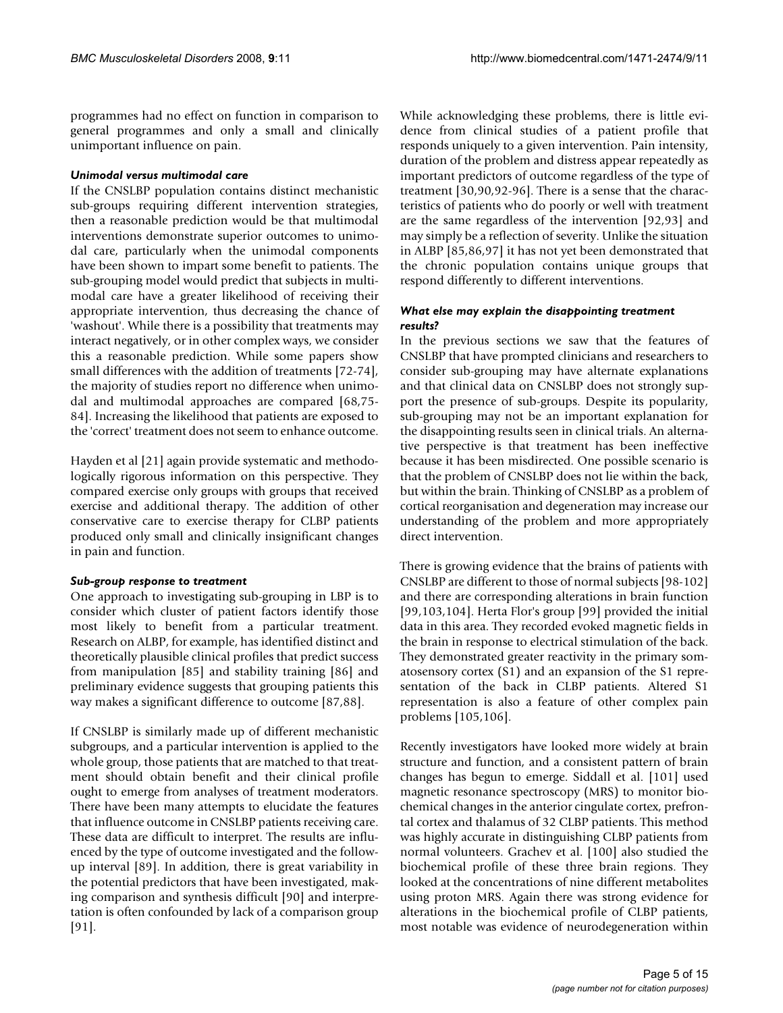programmes had no effect on function in comparison to general programmes and only a small and clinically unimportant influence on pain.

# *Unimodal versus multimodal care*

If the CNSLBP population contains distinct mechanistic sub-groups requiring different intervention strategies, then a reasonable prediction would be that multimodal interventions demonstrate superior outcomes to unimodal care, particularly when the unimodal components have been shown to impart some benefit to patients. The sub-grouping model would predict that subjects in multimodal care have a greater likelihood of receiving their appropriate intervention, thus decreasing the chance of 'washout'. While there is a possibility that treatments may interact negatively, or in other complex ways, we consider this a reasonable prediction. While some papers show small differences with the addition of treatments [72-74], the majority of studies report no difference when unimodal and multimodal approaches are compared [68,75- 84]. Increasing the likelihood that patients are exposed to the 'correct' treatment does not seem to enhance outcome.

Hayden et al [21] again provide systematic and methodologically rigorous information on this perspective. They compared exercise only groups with groups that received exercise and additional therapy. The addition of other conservative care to exercise therapy for CLBP patients produced only small and clinically insignificant changes in pain and function.

# *Sub-group response to treatment*

One approach to investigating sub-grouping in LBP is to consider which cluster of patient factors identify those most likely to benefit from a particular treatment. Research on ALBP, for example, has identified distinct and theoretically plausible clinical profiles that predict success from manipulation [85] and stability training [86] and preliminary evidence suggests that grouping patients this way makes a significant difference to outcome [87,88].

If CNSLBP is similarly made up of different mechanistic subgroups, and a particular intervention is applied to the whole group, those patients that are matched to that treatment should obtain benefit and their clinical profile ought to emerge from analyses of treatment moderators. There have been many attempts to elucidate the features that influence outcome in CNSLBP patients receiving care. These data are difficult to interpret. The results are influenced by the type of outcome investigated and the followup interval [89]. In addition, there is great variability in the potential predictors that have been investigated, making comparison and synthesis difficult [90] and interpretation is often confounded by lack of a comparison group [91].

While acknowledging these problems, there is little evidence from clinical studies of a patient profile that responds uniquely to a given intervention. Pain intensity, duration of the problem and distress appear repeatedly as important predictors of outcome regardless of the type of treatment [30,90,92-96]. There is a sense that the characteristics of patients who do poorly or well with treatment are the same regardless of the intervention [92,93] and may simply be a reflection of severity. Unlike the situation in ALBP [85,86,97] it has not yet been demonstrated that the chronic population contains unique groups that respond differently to different interventions.

# *What else may explain the disappointing treatment results?*

In the previous sections we saw that the features of CNSLBP that have prompted clinicians and researchers to consider sub-grouping may have alternate explanations and that clinical data on CNSLBP does not strongly support the presence of sub-groups. Despite its popularity, sub-grouping may not be an important explanation for the disappointing results seen in clinical trials. An alternative perspective is that treatment has been ineffective because it has been misdirected. One possible scenario is that the problem of CNSLBP does not lie within the back, but within the brain. Thinking of CNSLBP as a problem of cortical reorganisation and degeneration may increase our understanding of the problem and more appropriately direct intervention.

There is growing evidence that the brains of patients with CNSLBP are different to those of normal subjects [98-102] and there are corresponding alterations in brain function [99,103,104]. Herta Flor's group [99] provided the initial data in this area. They recorded evoked magnetic fields in the brain in response to electrical stimulation of the back. They demonstrated greater reactivity in the primary somatosensory cortex (S1) and an expansion of the S1 representation of the back in CLBP patients. Altered S1 representation is also a feature of other complex pain problems [105,106].

Recently investigators have looked more widely at brain structure and function, and a consistent pattern of brain changes has begun to emerge. Siddall et al. [101] used magnetic resonance spectroscopy (MRS) to monitor biochemical changes in the anterior cingulate cortex, prefrontal cortex and thalamus of 32 CLBP patients. This method was highly accurate in distinguishing CLBP patients from normal volunteers. Grachev et al. [100] also studied the biochemical profile of these three brain regions. They looked at the concentrations of nine different metabolites using proton MRS. Again there was strong evidence for alterations in the biochemical profile of CLBP patients, most notable was evidence of neurodegeneration within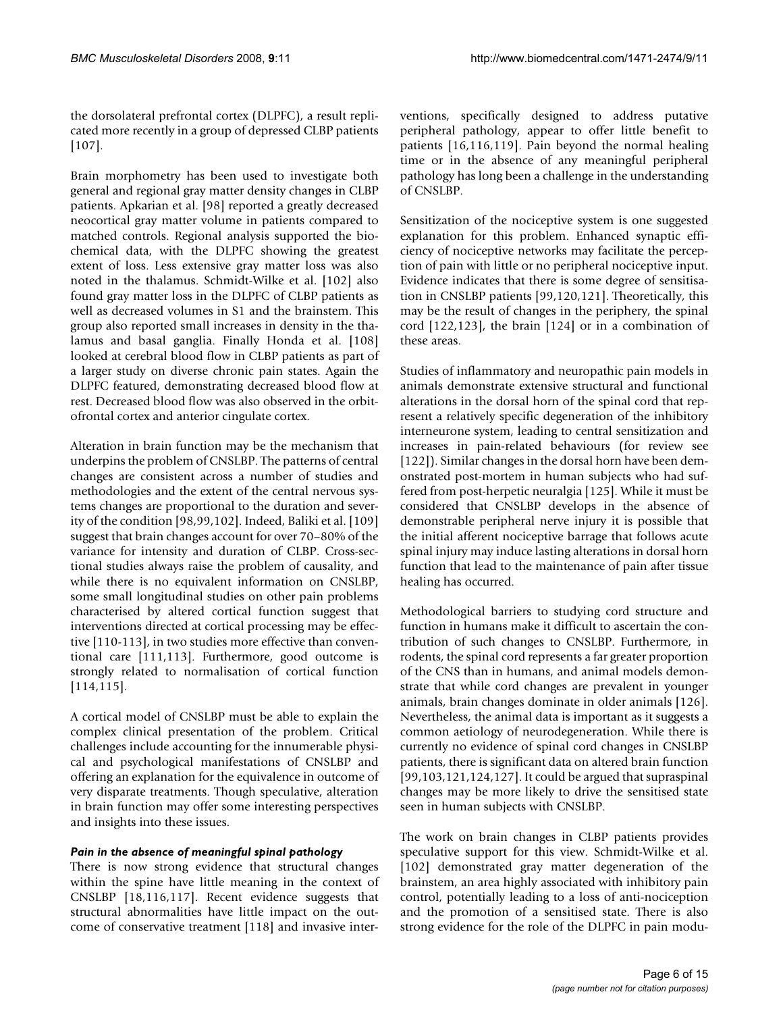the dorsolateral prefrontal cortex (DLPFC), a result replicated more recently in a group of depressed CLBP patients [107].

Brain morphometry has been used to investigate both general and regional gray matter density changes in CLBP patients. Apkarian et al. [98] reported a greatly decreased neocortical gray matter volume in patients compared to matched controls. Regional analysis supported the biochemical data, with the DLPFC showing the greatest extent of loss. Less extensive gray matter loss was also noted in the thalamus. Schmidt-Wilke et al. [102] also found gray matter loss in the DLPFC of CLBP patients as well as decreased volumes in S1 and the brainstem. This group also reported small increases in density in the thalamus and basal ganglia. Finally Honda et al. [108] looked at cerebral blood flow in CLBP patients as part of a larger study on diverse chronic pain states. Again the DLPFC featured, demonstrating decreased blood flow at rest. Decreased blood flow was also observed in the orbitofrontal cortex and anterior cingulate cortex.

Alteration in brain function may be the mechanism that underpins the problem of CNSLBP. The patterns of central changes are consistent across a number of studies and methodologies and the extent of the central nervous systems changes are proportional to the duration and severity of the condition [98,99,102]. Indeed, Baliki et al. [109] suggest that brain changes account for over 70–80% of the variance for intensity and duration of CLBP. Cross-sectional studies always raise the problem of causality, and while there is no equivalent information on CNSLBP, some small longitudinal studies on other pain problems characterised by altered cortical function suggest that interventions directed at cortical processing may be effective [110-113], in two studies more effective than conventional care [111,113]. Furthermore, good outcome is strongly related to normalisation of cortical function [114,115].

A cortical model of CNSLBP must be able to explain the complex clinical presentation of the problem. Critical challenges include accounting for the innumerable physical and psychological manifestations of CNSLBP and offering an explanation for the equivalence in outcome of very disparate treatments. Though speculative, alteration in brain function may offer some interesting perspectives and insights into these issues.

# *Pain in the absence of meaningful spinal pathology*

There is now strong evidence that structural changes within the spine have little meaning in the context of CNSLBP [18,116,117]. Recent evidence suggests that structural abnormalities have little impact on the outcome of conservative treatment [118] and invasive interventions, specifically designed to address putative peripheral pathology, appear to offer little benefit to patients [16,116,119]. Pain beyond the normal healing time or in the absence of any meaningful peripheral pathology has long been a challenge in the understanding of CNSLBP.

Sensitization of the nociceptive system is one suggested explanation for this problem. Enhanced synaptic efficiency of nociceptive networks may facilitate the perception of pain with little or no peripheral nociceptive input. Evidence indicates that there is some degree of sensitisation in CNSLBP patients [99,120,121]. Theoretically, this may be the result of changes in the periphery, the spinal cord [122,123], the brain [124] or in a combination of these areas.

Studies of inflammatory and neuropathic pain models in animals demonstrate extensive structural and functional alterations in the dorsal horn of the spinal cord that represent a relatively specific degeneration of the inhibitory interneurone system, leading to central sensitization and increases in pain-related behaviours (for review see [122]). Similar changes in the dorsal horn have been demonstrated post-mortem in human subjects who had suffered from post-herpetic neuralgia [125]. While it must be considered that CNSLBP develops in the absence of demonstrable peripheral nerve injury it is possible that the initial afferent nociceptive barrage that follows acute spinal injury may induce lasting alterations in dorsal horn function that lead to the maintenance of pain after tissue healing has occurred.

Methodological barriers to studying cord structure and function in humans make it difficult to ascertain the contribution of such changes to CNSLBP. Furthermore, in rodents, the spinal cord represents a far greater proportion of the CNS than in humans, and animal models demonstrate that while cord changes are prevalent in younger animals, brain changes dominate in older animals [126]. Nevertheless, the animal data is important as it suggests a common aetiology of neurodegeneration. While there is currently no evidence of spinal cord changes in CNSLBP patients, there is significant data on altered brain function [99,103,121,124,127]. It could be argued that supraspinal changes may be more likely to drive the sensitised state seen in human subjects with CNSLBP.

The work on brain changes in CLBP patients provides speculative support for this view. Schmidt-Wilke et al. [102] demonstrated gray matter degeneration of the brainstem, an area highly associated with inhibitory pain control, potentially leading to a loss of anti-nociception and the promotion of a sensitised state. There is also strong evidence for the role of the DLPFC in pain modu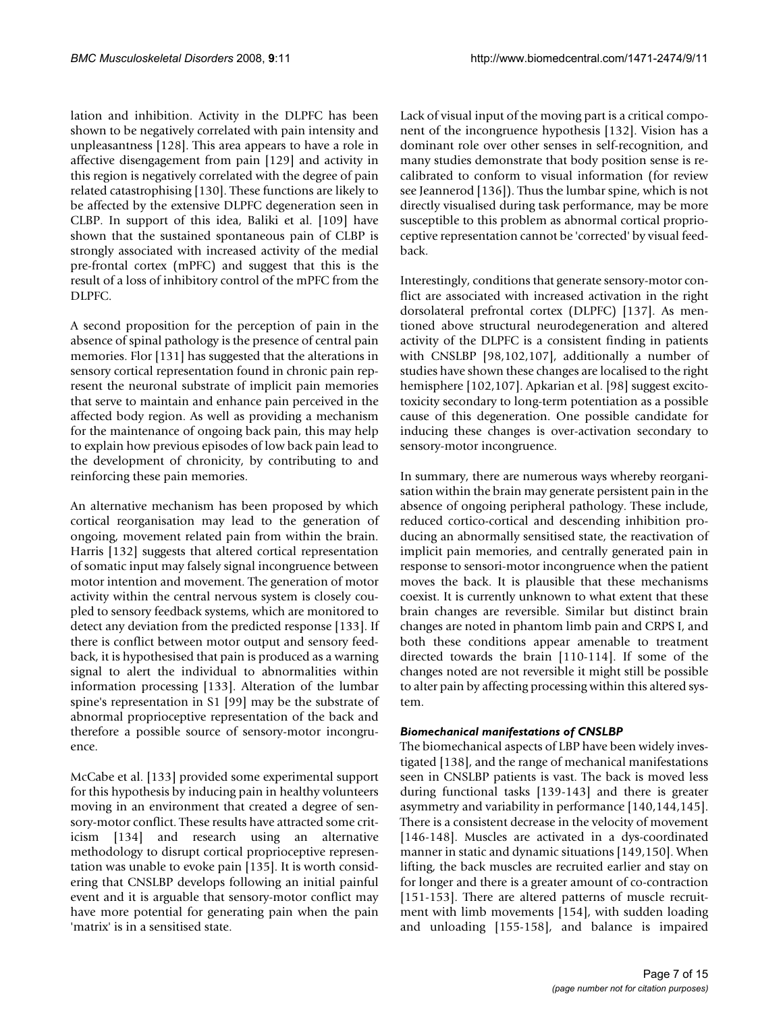lation and inhibition. Activity in the DLPFC has been shown to be negatively correlated with pain intensity and unpleasantness [128]. This area appears to have a role in affective disengagement from pain [129] and activity in this region is negatively correlated with the degree of pain related catastrophising [130]. These functions are likely to be affected by the extensive DLPFC degeneration seen in CLBP. In support of this idea, Baliki et al. [109] have shown that the sustained spontaneous pain of CLBP is strongly associated with increased activity of the medial pre-frontal cortex (mPFC) and suggest that this is the result of a loss of inhibitory control of the mPFC from the DLPFC.

A second proposition for the perception of pain in the absence of spinal pathology is the presence of central pain memories. Flor [131] has suggested that the alterations in sensory cortical representation found in chronic pain represent the neuronal substrate of implicit pain memories that serve to maintain and enhance pain perceived in the affected body region. As well as providing a mechanism for the maintenance of ongoing back pain, this may help to explain how previous episodes of low back pain lead to the development of chronicity, by contributing to and reinforcing these pain memories.

An alternative mechanism has been proposed by which cortical reorganisation may lead to the generation of ongoing, movement related pain from within the brain. Harris [132] suggests that altered cortical representation of somatic input may falsely signal incongruence between motor intention and movement. The generation of motor activity within the central nervous system is closely coupled to sensory feedback systems, which are monitored to detect any deviation from the predicted response [133]. If there is conflict between motor output and sensory feedback, it is hypothesised that pain is produced as a warning signal to alert the individual to abnormalities within information processing [133]. Alteration of the lumbar spine's representation in S1 [99] may be the substrate of abnormal proprioceptive representation of the back and therefore a possible source of sensory-motor incongruence.

McCabe et al. [133] provided some experimental support for this hypothesis by inducing pain in healthy volunteers moving in an environment that created a degree of sensory-motor conflict. These results have attracted some criticism [134] and research using an alternative methodology to disrupt cortical proprioceptive representation was unable to evoke pain [135]. It is worth considering that CNSLBP develops following an initial painful event and it is arguable that sensory-motor conflict may have more potential for generating pain when the pain 'matrix' is in a sensitised state.

Lack of visual input of the moving part is a critical component of the incongruence hypothesis [132]. Vision has a dominant role over other senses in self-recognition, and many studies demonstrate that body position sense is recalibrated to conform to visual information (for review see Jeannerod [136]). Thus the lumbar spine, which is not directly visualised during task performance, may be more susceptible to this problem as abnormal cortical proprioceptive representation cannot be 'corrected' by visual feedback.

Interestingly, conditions that generate sensory-motor conflict are associated with increased activation in the right dorsolateral prefrontal cortex (DLPFC) [137]. As mentioned above structural neurodegeneration and altered activity of the DLPFC is a consistent finding in patients with CNSLBP [98,102,107], additionally a number of studies have shown these changes are localised to the right hemisphere [102,107]. Apkarian et al. [98] suggest excitotoxicity secondary to long-term potentiation as a possible cause of this degeneration. One possible candidate for inducing these changes is over-activation secondary to sensory-motor incongruence.

In summary, there are numerous ways whereby reorganisation within the brain may generate persistent pain in the absence of ongoing peripheral pathology. These include, reduced cortico-cortical and descending inhibition producing an abnormally sensitised state, the reactivation of implicit pain memories, and centrally generated pain in response to sensori-motor incongruence when the patient moves the back. It is plausible that these mechanisms coexist. It is currently unknown to what extent that these brain changes are reversible. Similar but distinct brain changes are noted in phantom limb pain and CRPS I, and both these conditions appear amenable to treatment directed towards the brain [110-114]. If some of the changes noted are not reversible it might still be possible to alter pain by affecting processing within this altered system.

# *Biomechanical manifestations of CNSLBP*

The biomechanical aspects of LBP have been widely investigated [138], and the range of mechanical manifestations seen in CNSLBP patients is vast. The back is moved less during functional tasks [139-143] and there is greater asymmetry and variability in performance [140,144,145]. There is a consistent decrease in the velocity of movement [146-148]. Muscles are activated in a dys-coordinated manner in static and dynamic situations [149,150]. When lifting, the back muscles are recruited earlier and stay on for longer and there is a greater amount of co-contraction [151-153]. There are altered patterns of muscle recruitment with limb movements [154], with sudden loading and unloading [155-158], and balance is impaired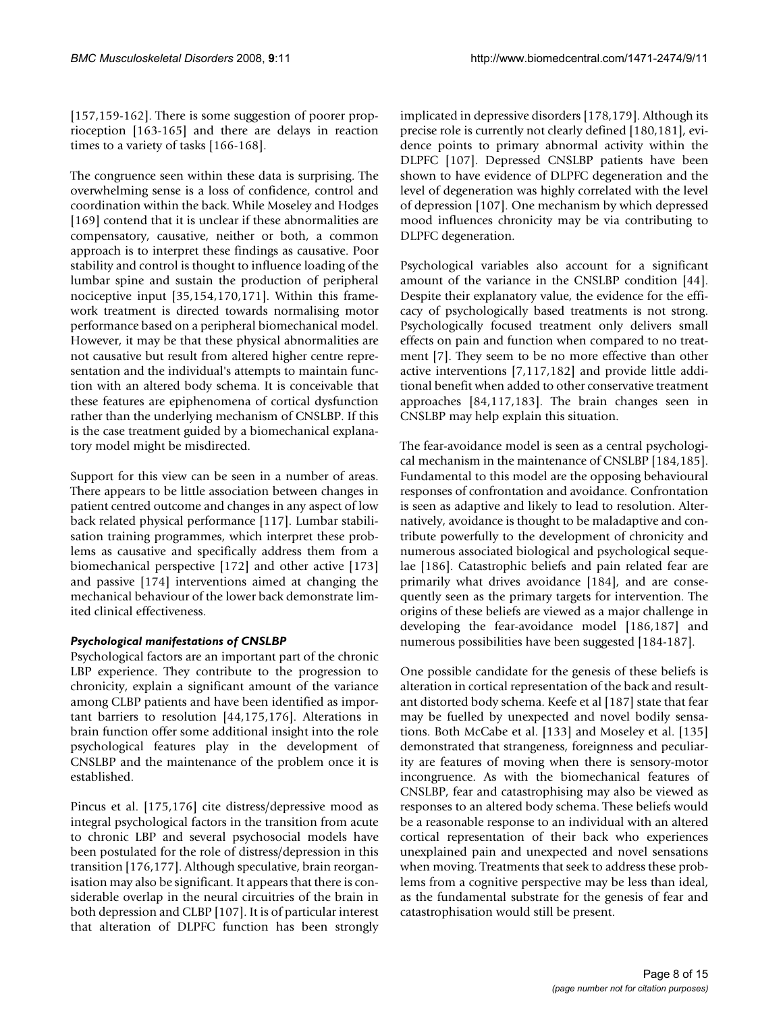[157,159-162]. There is some suggestion of poorer proprioception [163-165] and there are delays in reaction times to a variety of tasks [166-168].

The congruence seen within these data is surprising. The overwhelming sense is a loss of confidence, control and coordination within the back. While Moseley and Hodges [169] contend that it is unclear if these abnormalities are compensatory, causative, neither or both, a common approach is to interpret these findings as causative. Poor stability and control is thought to influence loading of the lumbar spine and sustain the production of peripheral nociceptive input [35,154,170,171]. Within this framework treatment is directed towards normalising motor performance based on a peripheral biomechanical model. However, it may be that these physical abnormalities are not causative but result from altered higher centre representation and the individual's attempts to maintain function with an altered body schema. It is conceivable that these features are epiphenomena of cortical dysfunction rather than the underlying mechanism of CNSLBP. If this is the case treatment guided by a biomechanical explanatory model might be misdirected.

Support for this view can be seen in a number of areas. There appears to be little association between changes in patient centred outcome and changes in any aspect of low back related physical performance [117]. Lumbar stabilisation training programmes, which interpret these problems as causative and specifically address them from a biomechanical perspective [172] and other active [173] and passive [174] interventions aimed at changing the mechanical behaviour of the lower back demonstrate limited clinical effectiveness.

# *Psychological manifestations of CNSLBP*

Psychological factors are an important part of the chronic LBP experience. They contribute to the progression to chronicity, explain a significant amount of the variance among CLBP patients and have been identified as important barriers to resolution [44,175,176]. Alterations in brain function offer some additional insight into the role psychological features play in the development of CNSLBP and the maintenance of the problem once it is established.

Pincus et al. [175,176] cite distress/depressive mood as integral psychological factors in the transition from acute to chronic LBP and several psychosocial models have been postulated for the role of distress/depression in this transition [176,177]. Although speculative, brain reorganisation may also be significant. It appears that there is considerable overlap in the neural circuitries of the brain in both depression and CLBP [107]. It is of particular interest that alteration of DLPFC function has been strongly implicated in depressive disorders [178,179]. Although its precise role is currently not clearly defined [180,181], evidence points to primary abnormal activity within the DLPFC [107]. Depressed CNSLBP patients have been shown to have evidence of DLPFC degeneration and the level of degeneration was highly correlated with the level of depression [107]. One mechanism by which depressed mood influences chronicity may be via contributing to DLPFC degeneration.

Psychological variables also account for a significant amount of the variance in the CNSLBP condition [44]. Despite their explanatory value, the evidence for the efficacy of psychologically based treatments is not strong. Psychologically focused treatment only delivers small effects on pain and function when compared to no treatment [7]. They seem to be no more effective than other active interventions [7,117,182] and provide little additional benefit when added to other conservative treatment approaches [84,117,183]. The brain changes seen in CNSLBP may help explain this situation.

The fear-avoidance model is seen as a central psychological mechanism in the maintenance of CNSLBP [184,185]. Fundamental to this model are the opposing behavioural responses of confrontation and avoidance. Confrontation is seen as adaptive and likely to lead to resolution. Alternatively, avoidance is thought to be maladaptive and contribute powerfully to the development of chronicity and numerous associated biological and psychological sequelae [186]. Catastrophic beliefs and pain related fear are primarily what drives avoidance [184], and are consequently seen as the primary targets for intervention. The origins of these beliefs are viewed as a major challenge in developing the fear-avoidance model [186,187] and numerous possibilities have been suggested [184-187].

One possible candidate for the genesis of these beliefs is alteration in cortical representation of the back and resultant distorted body schema. Keefe et al [187] state that fear may be fuelled by unexpected and novel bodily sensations. Both McCabe et al. [133] and Moseley et al. [135] demonstrated that strangeness, foreignness and peculiarity are features of moving when there is sensory-motor incongruence. As with the biomechanical features of CNSLBP, fear and catastrophising may also be viewed as responses to an altered body schema. These beliefs would be a reasonable response to an individual with an altered cortical representation of their back who experiences unexplained pain and unexpected and novel sensations when moving. Treatments that seek to address these problems from a cognitive perspective may be less than ideal, as the fundamental substrate for the genesis of fear and catastrophisation would still be present.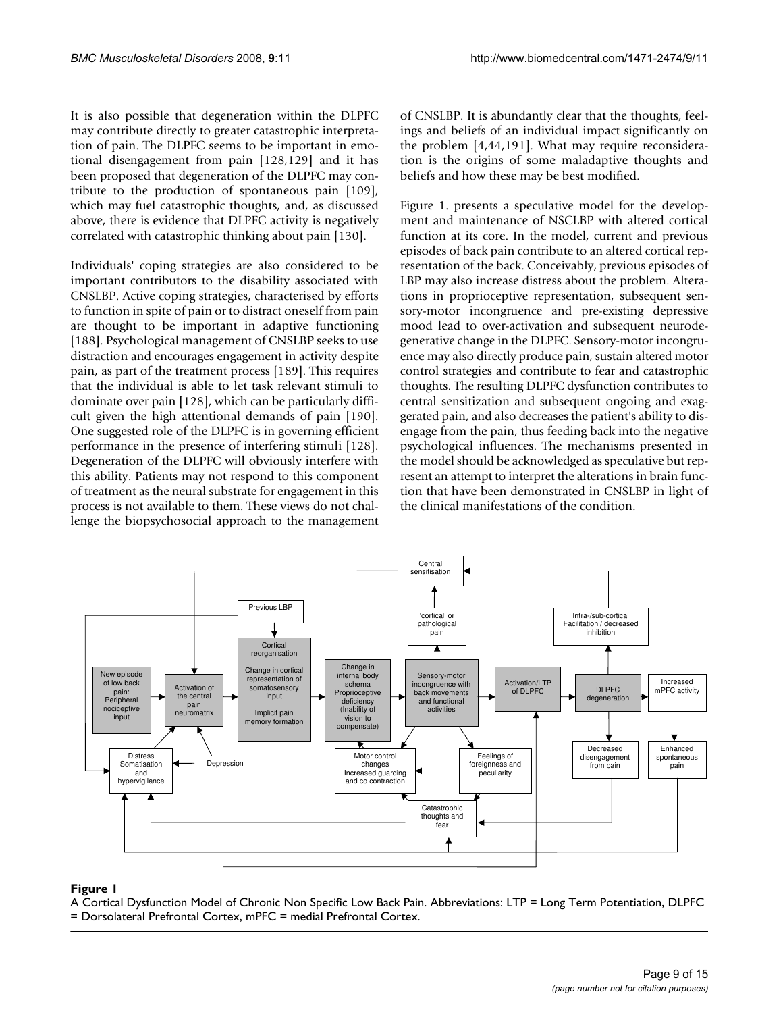It is also possible that degeneration within the DLPFC may contribute directly to greater catastrophic interpretation of pain. The DLPFC seems to be important in emotional disengagement from pain [128,129] and it has been proposed that degeneration of the DLPFC may contribute to the production of spontaneous pain [109], which may fuel catastrophic thoughts, and, as discussed above, there is evidence that DLPFC activity is negatively correlated with catastrophic thinking about pain [130].

Individuals' coping strategies are also considered to be important contributors to the disability associated with CNSLBP. Active coping strategies, characterised by efforts to function in spite of pain or to distract oneself from pain are thought to be important in adaptive functioning [188]. Psychological management of CNSLBP seeks to use distraction and encourages engagement in activity despite pain, as part of the treatment process [189]. This requires that the individual is able to let task relevant stimuli to dominate over pain [128], which can be particularly difficult given the high attentional demands of pain [190]. One suggested role of the DLPFC is in governing efficient performance in the presence of interfering stimuli [128]. Degeneration of the DLPFC will obviously interfere with this ability. Patients may not respond to this component of treatment as the neural substrate for engagement in this process is not available to them. These views do not challenge the biopsychosocial approach to the management of CNSLBP. It is abundantly clear that the thoughts, feelings and beliefs of an individual impact significantly on the problem [4,44,191]. What may require reconsideration is the origins of some maladaptive thoughts and beliefs and how these may be best modified.

Figure 1. presents a speculative model for the development and maintenance of NSCLBP with altered cortical function at its core. In the model, current and previous episodes of back pain contribute to an altered cortical representation of the back. Conceivably, previous episodes of LBP may also increase distress about the problem. Alterations in proprioceptive representation, subsequent sensory-motor incongruence and pre-existing depressive mood lead to over-activation and subsequent neurodegenerative change in the DLPFC. Sensory-motor incongruence may also directly produce pain, sustain altered motor control strategies and contribute to fear and catastrophic thoughts. The resulting DLPFC dysfunction contributes to central sensitization and subsequent ongoing and exaggerated pain, and also decreases the patient's ability to disengage from the pain, thus feeding back into the negative psychological influences. The mechanisms presented in the model should be acknowledged as speculative but represent an attempt to interpret the alterations in brain function that have been demonstrated in CNSLBP in light of the clinical manifestations of the condition.



# Figure 1

A Cortical Dysfunction Model of Chronic Non Specific Low Back Pain. Abbreviations: LTP = Long Term Potentiation, DLPFC = Dorsolateral Prefrontal Cortex, mPFC = medial Prefrontal Cortex.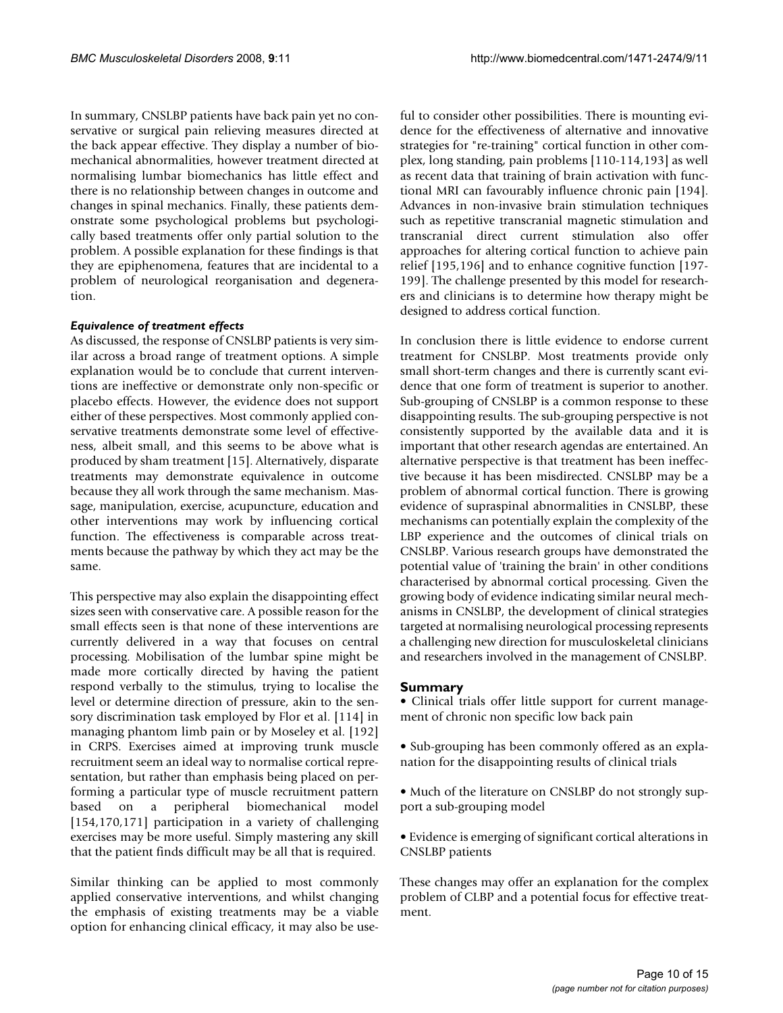In summary, CNSLBP patients have back pain yet no conservative or surgical pain relieving measures directed at the back appear effective. They display a number of biomechanical abnormalities, however treatment directed at normalising lumbar biomechanics has little effect and there is no relationship between changes in outcome and changes in spinal mechanics. Finally, these patients demonstrate some psychological problems but psychologically based treatments offer only partial solution to the problem. A possible explanation for these findings is that they are epiphenomena, features that are incidental to a problem of neurological reorganisation and degeneration.

# *Equivalence of treatment effects*

As discussed, the response of CNSLBP patients is very similar across a broad range of treatment options. A simple explanation would be to conclude that current interventions are ineffective or demonstrate only non-specific or placebo effects. However, the evidence does not support either of these perspectives. Most commonly applied conservative treatments demonstrate some level of effectiveness, albeit small, and this seems to be above what is produced by sham treatment [15]. Alternatively, disparate treatments may demonstrate equivalence in outcome because they all work through the same mechanism. Massage, manipulation, exercise, acupuncture, education and other interventions may work by influencing cortical function. The effectiveness is comparable across treatments because the pathway by which they act may be the same.

This perspective may also explain the disappointing effect sizes seen with conservative care. A possible reason for the small effects seen is that none of these interventions are currently delivered in a way that focuses on central processing. Mobilisation of the lumbar spine might be made more cortically directed by having the patient respond verbally to the stimulus, trying to localise the level or determine direction of pressure, akin to the sensory discrimination task employed by Flor et al. [114] in managing phantom limb pain or by Moseley et al. [192] in CRPS. Exercises aimed at improving trunk muscle recruitment seem an ideal way to normalise cortical representation, but rather than emphasis being placed on performing a particular type of muscle recruitment pattern based on a peripheral biomechanical model [154,170,171] participation in a variety of challenging exercises may be more useful. Simply mastering any skill that the patient finds difficult may be all that is required.

Similar thinking can be applied to most commonly applied conservative interventions, and whilst changing the emphasis of existing treatments may be a viable option for enhancing clinical efficacy, it may also be useful to consider other possibilities. There is mounting evidence for the effectiveness of alternative and innovative strategies for "re-training" cortical function in other complex, long standing, pain problems [110-114,193] as well as recent data that training of brain activation with functional MRI can favourably influence chronic pain [194]. Advances in non-invasive brain stimulation techniques such as repetitive transcranial magnetic stimulation and transcranial direct current stimulation also offer approaches for altering cortical function to achieve pain relief [195,196] and to enhance cognitive function [197- 199]. The challenge presented by this model for researchers and clinicians is to determine how therapy might be designed to address cortical function.

In conclusion there is little evidence to endorse current treatment for CNSLBP. Most treatments provide only small short-term changes and there is currently scant evidence that one form of treatment is superior to another. Sub-grouping of CNSLBP is a common response to these disappointing results. The sub-grouping perspective is not consistently supported by the available data and it is important that other research agendas are entertained. An alternative perspective is that treatment has been ineffective because it has been misdirected. CNSLBP may be a problem of abnormal cortical function. There is growing evidence of supraspinal abnormalities in CNSLBP, these mechanisms can potentially explain the complexity of the LBP experience and the outcomes of clinical trials on CNSLBP. Various research groups have demonstrated the potential value of 'training the brain' in other conditions characterised by abnormal cortical processing. Given the growing body of evidence indicating similar neural mechanisms in CNSLBP, the development of clinical strategies targeted at normalising neurological processing represents a challenging new direction for musculoskeletal clinicians and researchers involved in the management of CNSLBP.

# **Summary**

• Clinical trials offer little support for current management of chronic non specific low back pain

- Sub-grouping has been commonly offered as an explanation for the disappointing results of clinical trials
- Much of the literature on CNSLBP do not strongly support a sub-grouping model
- Evidence is emerging of significant cortical alterations in CNSLBP patients

These changes may offer an explanation for the complex problem of CLBP and a potential focus for effective treatment.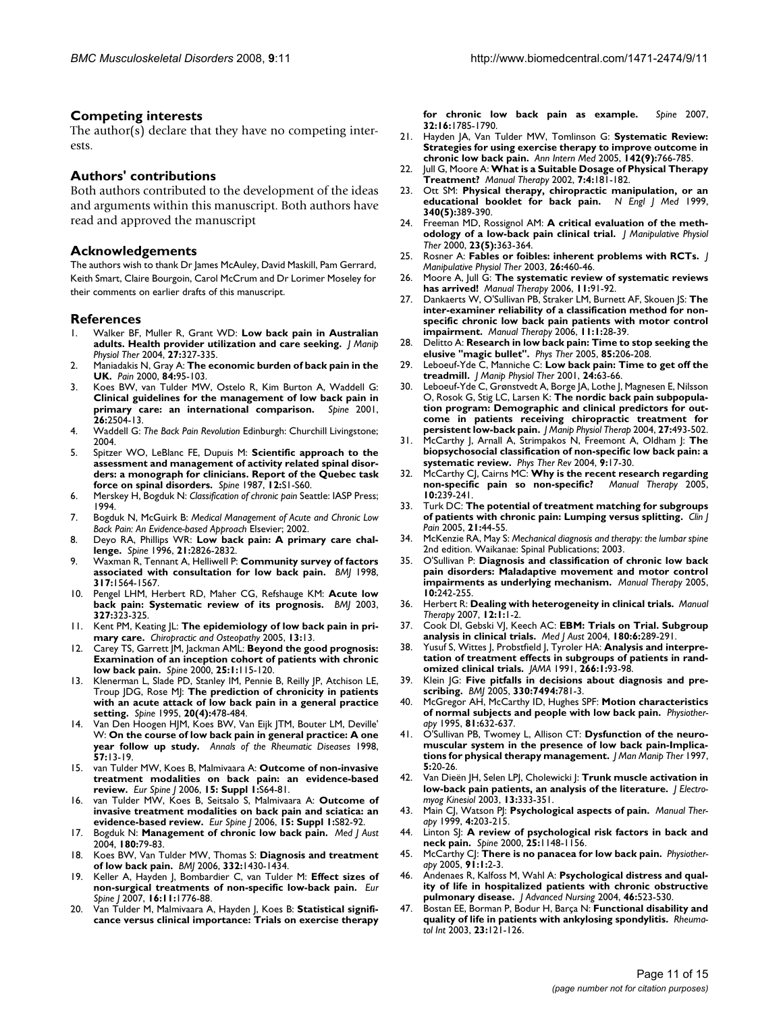#### **Competing interests**

The author(s) declare that they have no competing interests.

# **Authors' contributions**

Both authors contributed to the development of the ideas and arguments within this manuscript. Both authors have read and approved the manuscript

#### **Acknowledgements**

The authors wish to thank Dr James McAuley, David Maskill, Pam Gerrard, Keith Smart, Claire Bourgoin, Carol McCrum and Dr Lorimer Moseley for their comments on earlier drafts of this manuscript.

#### **References**

- 1. Walker BF, Muller R, Grant WD: **Low back pain in Australian adults. Health provider utilization and care seeking.** *J Manip Physiol Ther* 2004, **27:**327-335.
- 2. Maniadakis N, Gray A: **[The economic burden of back pain in the](http://www.ncbi.nlm.nih.gov/entrez/query.fcgi?cmd=Retrieve&db=PubMed&dopt=Abstract&list_uids=10601677) [UK.](http://www.ncbi.nlm.nih.gov/entrez/query.fcgi?cmd=Retrieve&db=PubMed&dopt=Abstract&list_uids=10601677)** *Pain* 2000, **84:**95-103.
- 3. Koes BW, van Tulder MW, Ostelo R, Kim Burton A, Waddell G: **[Clinical guidelines for the management of low back pain in](http://www.ncbi.nlm.nih.gov/entrez/query.fcgi?cmd=Retrieve&db=PubMed&dopt=Abstract&list_uids=11707719) [primary care: an international comparison.](http://www.ncbi.nlm.nih.gov/entrez/query.fcgi?cmd=Retrieve&db=PubMed&dopt=Abstract&list_uids=11707719)** *Spine* 2001, **26:**2504-13.
- 4. Waddell G: *The Back Pain Revolution* Edinburgh: Churchill Livingstone; 2004.
- 5. Spitzer WO, LeBlanc FE, Dupuis M: **[Scientific approach to the](http://www.ncbi.nlm.nih.gov/entrez/query.fcgi?cmd=Retrieve&db=PubMed&dopt=Abstract&list_uids=2961086) [assessment and management of activity related spinal disor](http://www.ncbi.nlm.nih.gov/entrez/query.fcgi?cmd=Retrieve&db=PubMed&dopt=Abstract&list_uids=2961086)ders: a monograph for clinicians. Report of the Quebec task [force on spinal disorders.](http://www.ncbi.nlm.nih.gov/entrez/query.fcgi?cmd=Retrieve&db=PubMed&dopt=Abstract&list_uids=2961086)** *Spine* 1987, **12:**S1-S60.
- 6. Merskey H, Bogduk N: *Classification of chronic pain* Seattle: IASP Press; 1994.
- 7. Bogduk N, McGuirk B: *Medical Management of Acute and Chronic Low Back Pain: An Evidence-based Approach* Elsevier; 2002.
- 8. Deyo RA, Phillips WR: **[Low back pain: A primary care chal](http://www.ncbi.nlm.nih.gov/entrez/query.fcgi?cmd=Retrieve&db=PubMed&dopt=Abstract&list_uids=9112706)[lenge.](http://www.ncbi.nlm.nih.gov/entrez/query.fcgi?cmd=Retrieve&db=PubMed&dopt=Abstract&list_uids=9112706)** *Spine* 1996, **21:**2826-2832.
- 9. Waxman R, Tennant A, Helliwell P: **[Community survey of factors](http://www.ncbi.nlm.nih.gov/entrez/query.fcgi?cmd=Retrieve&db=PubMed&dopt=Abstract&list_uids=9836660) [associated with consultation for low back pain.](http://www.ncbi.nlm.nih.gov/entrez/query.fcgi?cmd=Retrieve&db=PubMed&dopt=Abstract&list_uids=9836660)** *BMJ* 1998, **317:**1564-1567.
- 10. Pengel LHM, Herbert RD, Maher CG, Refshauge KM: **[Acute low](http://www.ncbi.nlm.nih.gov/entrez/query.fcgi?cmd=Retrieve&db=PubMed&dopt=Abstract&list_uids=12907487) [back pain: Systematic review of its prognosis.](http://www.ncbi.nlm.nih.gov/entrez/query.fcgi?cmd=Retrieve&db=PubMed&dopt=Abstract&list_uids=12907487)** *BMJ* 2003, **327:**323-325.
- 11. Kent PM, Keating JL: **The epidemiology of low back pain in primary care.** *Chiropractic and Osteopathy* 2005, **13:**13.
- 12. Carey TS, Garrett JM, Jackman AML: **Beyond the good prognosis: Examination of an inception cohort of patients with chronic low back pain.** *Spine* 2000, **25:1:**115-120.
- 13. Klenerman L, Slade PD, Stanley IM, Pennie B, Reilly JP, Atchison LE, Troup JDG, Rose MJ: **[The prediction of chronicity in patients](http://www.ncbi.nlm.nih.gov/entrez/query.fcgi?cmd=Retrieve&db=PubMed&dopt=Abstract&list_uids=7747233) [with an acute attack of low back pain in a general practice](http://www.ncbi.nlm.nih.gov/entrez/query.fcgi?cmd=Retrieve&db=PubMed&dopt=Abstract&list_uids=7747233) [setting.](http://www.ncbi.nlm.nih.gov/entrez/query.fcgi?cmd=Retrieve&db=PubMed&dopt=Abstract&list_uids=7747233)** *Spine* 1995, **20(4):**478-484.
- 14. Van Den Hoogen HJM, Koes BW, Van Eijk JTM, Bouter LM, Deville' W: **[On the course of low back pain in general practice: A one](http://www.ncbi.nlm.nih.gov/entrez/query.fcgi?cmd=Retrieve&db=PubMed&dopt=Abstract&list_uids=9536816) [year follow up study.](http://www.ncbi.nlm.nih.gov/entrez/query.fcgi?cmd=Retrieve&db=PubMed&dopt=Abstract&list_uids=9536816)** *Annals of the Rheumatic Diseases* 1998, **57:**13-19.
- 15. van Tulder MW, Koes B, Malmivaara A: **[Outcome of non-invasive](http://www.ncbi.nlm.nih.gov/entrez/query.fcgi?cmd=Retrieve&db=PubMed&dopt=Abstract&list_uids=16320031) [treatment modalities on back pain: an evidence-based](http://www.ncbi.nlm.nih.gov/entrez/query.fcgi?cmd=Retrieve&db=PubMed&dopt=Abstract&list_uids=16320031) [review.](http://www.ncbi.nlm.nih.gov/entrez/query.fcgi?cmd=Retrieve&db=PubMed&dopt=Abstract&list_uids=16320031)** *Eur Spine J* 2006, **15: Suppl 1:**S64-81.
- 16. van Tulder MW, Koes B, Seitsalo S, Malmivaara A: **[Outcome of](http://www.ncbi.nlm.nih.gov/entrez/query.fcgi?cmd=Retrieve&db=PubMed&dopt=Abstract&list_uids=16320030) [invasive treatment modalities on back pain and sciatica: an](http://www.ncbi.nlm.nih.gov/entrez/query.fcgi?cmd=Retrieve&db=PubMed&dopt=Abstract&list_uids=16320030) [evidence-based review.](http://www.ncbi.nlm.nih.gov/entrez/query.fcgi?cmd=Retrieve&db=PubMed&dopt=Abstract&list_uids=16320030)** *Eur Spine J* 2006, **15: Suppl 1:**S82-92.
- 17. Bogduk N: **[Management of chronic low back pain.](http://www.ncbi.nlm.nih.gov/entrez/query.fcgi?cmd=Retrieve&db=PubMed&dopt=Abstract&list_uids=14723591)** *Med J Aust* 2004, **180:**79-83.
- 18. Koes BW, Van Tulder MW, Thomas S: **[Diagnosis and treatment](http://www.ncbi.nlm.nih.gov/entrez/query.fcgi?cmd=Retrieve&db=PubMed&dopt=Abstract&list_uids=16777886) [of low back pain.](http://www.ncbi.nlm.nih.gov/entrez/query.fcgi?cmd=Retrieve&db=PubMed&dopt=Abstract&list_uids=16777886)** *BMJ* 2006, **332:**1430-1434.
- 19. Keller A, Hayden J, Bombardier C, van Tulder M: **Effect sizes of non-surgical treatments of non-specific low-back pain.** *Eur Spine J* 2007, **16:11:**1776-88.
- 20. Van Tulder M, Malmivaara A, Hayden J, Koes B: **Statistical significance versus clinical importance: Trials on exercise therapy**

**for chronic low back pain as example.** *Spine* 2007, **32:16:**1785-1790.

- 21. Hayden JA, Van Tulder MW, Tomlinson G: **[Systematic Review:](http://www.ncbi.nlm.nih.gov/entrez/query.fcgi?cmd=Retrieve&db=PubMed&dopt=Abstract&list_uids=15867410) [Strategies for using exercise therapy to improve outcome in](http://www.ncbi.nlm.nih.gov/entrez/query.fcgi?cmd=Retrieve&db=PubMed&dopt=Abstract&list_uids=15867410) [chronic low back pain.](http://www.ncbi.nlm.nih.gov/entrez/query.fcgi?cmd=Retrieve&db=PubMed&dopt=Abstract&list_uids=15867410)** *Ann Intern Med* 2005, **142(9):**766-785.
- 22. Jull G, Moore A: **What is a Suitable Dosage of Physical Therapy Treatment?** *Manual Therapy* 2002, **7:4:**181-182.
- 23. Ott SM: **[Physical therapy, chiropractic manipulation, or an](http://www.ncbi.nlm.nih.gov/entrez/query.fcgi?cmd=Retrieve&db=PubMed&dopt=Abstract&list_uids=9988609) [educational booklet for back pain.](http://www.ncbi.nlm.nih.gov/entrez/query.fcgi?cmd=Retrieve&db=PubMed&dopt=Abstract&list_uids=9988609)** *N Engl J Med* 1999, **340(5):**389-390.
- 24. Freeman MD, Rossignol AM: **[A critical evaluation of the meth](http://www.ncbi.nlm.nih.gov/entrez/query.fcgi?cmd=Retrieve&db=PubMed&dopt=Abstract&list_uids=10863257)[odology of a low-back pain clinical trial.](http://www.ncbi.nlm.nih.gov/entrez/query.fcgi?cmd=Retrieve&db=PubMed&dopt=Abstract&list_uids=10863257)** *J Manipulative Physiol Ther* 2000, **23(5):**363-364.
- 25. Rosner A: **[Fables or foibles: inherent problems with RCTs.](http://www.ncbi.nlm.nih.gov/entrez/query.fcgi?cmd=Retrieve&db=PubMed&dopt=Abstract&list_uids=12975633)** *J Manipulative Physiol Ther* 2003, **26:**460-46.
- 26. Moore A, Jull G: **[The systematic review of systematic reviews](http://www.ncbi.nlm.nih.gov/entrez/query.fcgi?cmd=Retrieve&db=PubMed&dopt=Abstract&list_uids=16697950) [has arrived!](http://www.ncbi.nlm.nih.gov/entrez/query.fcgi?cmd=Retrieve&db=PubMed&dopt=Abstract&list_uids=16697950)** *Manual Therapy* 2006, **11:**91-92.
- 27. Dankaerts W, O'Sullivan PB, Straker LM, Burnett AF, Skouen JS: **The inter-examiner reliability of a classification method for nonspecific chronic low back pain patients with motor control impairment.** *Manual Therapy* 2006, **11:1:**28-39.
- 28. Delitto A: **[Research in low back pain: Time to stop seeking the](http://www.ncbi.nlm.nih.gov/entrez/query.fcgi?cmd=Retrieve&db=PubMed&dopt=Abstract&list_uids=15733045) [elusive "magic bullet".](http://www.ncbi.nlm.nih.gov/entrez/query.fcgi?cmd=Retrieve&db=PubMed&dopt=Abstract&list_uids=15733045)** *Phys Ther* 2005, **85:**206-208.
- 29. Leboeuf-Yde C, Manniche C: **Low back pain: Time to get off the treadmill.** *J Manip Physiol Ther* 2001, **24:**63-66.
- 30. Leboeuf-Yde C, Grønstvedt A, Borge JA, Lothe J, Magnesen E, Nilsson O, Rosok G, Stig LC, Larsen K: **The nordic back pain subpopulation program: Demographic and clinical predictors for outcome in patients receiving chiropractic treatment for persistent low-back pain.** *J Manip Physiol Therap* 2004, **27:**493-502.
- 31. McCarthy J, Arnall A, Strimpakos N, Freemont A, Oldham J: **The biopsychosocial classification of non-specific low back pain: a systematic review.** *Phys Ther Rev* 2004, **9:**17-30.
- 32. McCarthy CJ, Cairns MC: **[Why is the recent research regarding](http://www.ncbi.nlm.nih.gov/entrez/query.fcgi?cmd=Retrieve&db=PubMed&dopt=Abstract&list_uids=16253862) [non-specific pain so non-specific?](http://www.ncbi.nlm.nih.gov/entrez/query.fcgi?cmd=Retrieve&db=PubMed&dopt=Abstract&list_uids=16253862)** *Manual Therapy* 2005, **10:**239-241.
- 33. Turk DC: **[The potential of treatment matching for subgroups](http://www.ncbi.nlm.nih.gov/entrez/query.fcgi?cmd=Retrieve&db=PubMed&dopt=Abstract&list_uids=15599131) [of patients with chronic pain: Lumping versus splitting.](http://www.ncbi.nlm.nih.gov/entrez/query.fcgi?cmd=Retrieve&db=PubMed&dopt=Abstract&list_uids=15599131)** *Clin J Pain* 2005, **21:**44-55.
- 34. McKenzie RA, May S: *Mechanical diagnosis and therapy: the lumbar spine* 2nd edition. Waikanae: Spinal Publications; 2003.
- 35. O'Sullivan P: **[Diagnosis and classification of chronic low back](http://www.ncbi.nlm.nih.gov/entrez/query.fcgi?cmd=Retrieve&db=PubMed&dopt=Abstract&list_uids=16154380) [pain disorders: Maladaptive movement and motor control](http://www.ncbi.nlm.nih.gov/entrez/query.fcgi?cmd=Retrieve&db=PubMed&dopt=Abstract&list_uids=16154380) [impairments as underlying mechanism.](http://www.ncbi.nlm.nih.gov/entrez/query.fcgi?cmd=Retrieve&db=PubMed&dopt=Abstract&list_uids=16154380)** *Manual Therapy* 2005, **10:**242-255.
- 36. Herbert R: **Dealing with heterogeneity in clinical trials.** *Manual Therapy* 2007, **12:1:**1-2.
- 37. Cook DI, Gebski VJ, Keech AC: **EBM: Trials on Trial. Subgroup analysis in clinical trials.** *Med J Aust* 2004, **180:6:**289-291.
- 38. Yusuf S, Wittes J, Probstfield J, Tyroler HA: **Analysis and interpretation of treatment effects in subgroups of patients in randomized clinical trials.** *JAMA* 1991, **266:1:**93-98.
- 39. Klein JG: **Five pitfalls in decisions about diagnosis and prescribing.** *BMJ* 2005, **330:7494:**781-3.
- 40. McGregor AH, McCarthy ID, Hughes SPF: **Motion characteristics of normal subjects and people with low back pain.** *Physiotherapy* 1995, **81:**632-637.
- 41. O'Sullivan PB, Twomey L, Allison CT: **Dysfunction of the neuromuscular system in the presence of low back pain-Implications for physical therapy management.** *J Man Manip Ther* 1997, **5:**20-26.
- 42. Van Dieën JH, Selen LPJ, Cholewicki J: **Trunk muscle activation in low-back pain patients, an analysis of the literature.** *J Electromyog Kinesiol* 2003, **13:**333-351.
- 43. Main CJ, Watson PJ: **[Psychological aspects of pain.](http://www.ncbi.nlm.nih.gov/entrez/query.fcgi?cmd=Retrieve&db=PubMed&dopt=Abstract&list_uids=10593109)** *Manual Therapy* 1999, **4:**203-215.
- 44. Linton SJ: **[A review of psychological risk factors in back and](http://www.ncbi.nlm.nih.gov/entrez/query.fcgi?cmd=Retrieve&db=PubMed&dopt=Abstract&list_uids=10788861) [neck pain.](http://www.ncbi.nlm.nih.gov/entrez/query.fcgi?cmd=Retrieve&db=PubMed&dopt=Abstract&list_uids=10788861)** *Spine* 2000, **25:**1148-1156.
- 45. McCarthy CJ: **There is no panacea for low back pain.** *Physiotherapy* 2005, **91:1:**2-3.
- 46. Andenaes R, Kalfoss M, Wahl A: **Psychological distress and quality of life in hospitalized patients with chronic obstructive pulmonary disease.** *J Advanced Nursing* 2004, **46:**523-530.
- 47. Bostan EE, Borman P, Bodur H, Barça N: **[Functional disability and](http://www.ncbi.nlm.nih.gov/entrez/query.fcgi?cmd=Retrieve&db=PubMed&dopt=Abstract&list_uids=12739042) [quality of life in patients with ankylosing spondylitis.](http://www.ncbi.nlm.nih.gov/entrez/query.fcgi?cmd=Retrieve&db=PubMed&dopt=Abstract&list_uids=12739042)** *Rheumatol Int* 2003, **23:**121-126.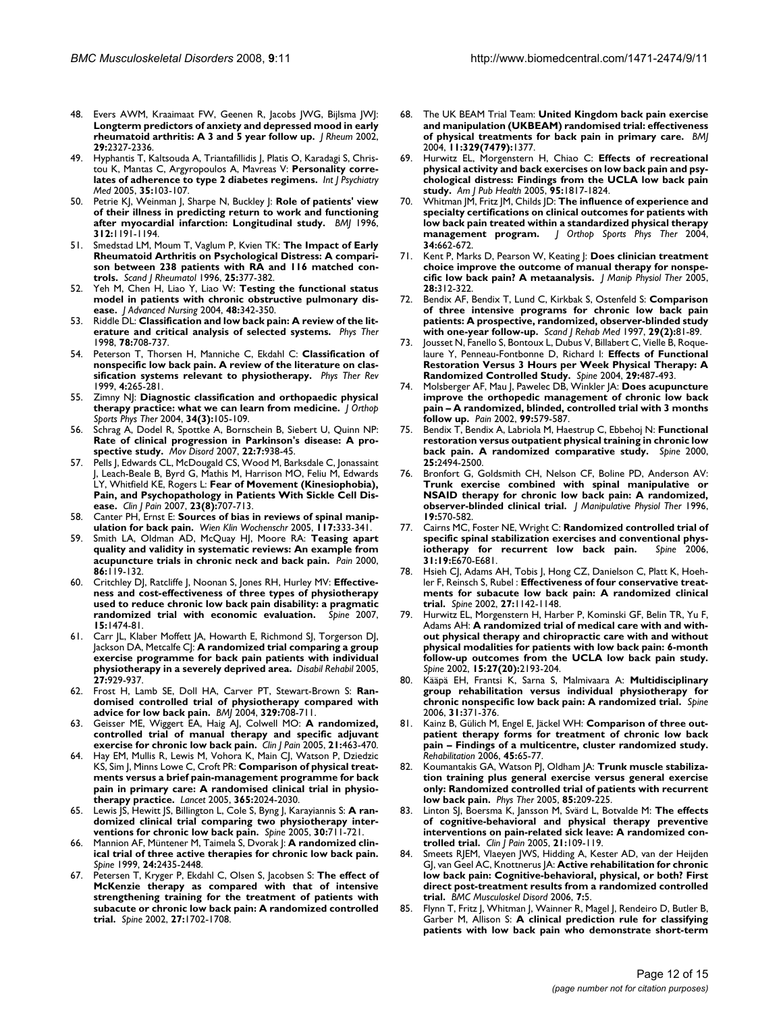- 48. Evers AWM, Kraaimaat FW, Geenen R, Jacobs JWG, Bijlsma JWJ: **[Longterm predictors of anxiety and depressed mood in early](http://www.ncbi.nlm.nih.gov/entrez/query.fcgi?cmd=Retrieve&db=PubMed&dopt=Abstract&list_uids=12415588) [rheumatoid arthritis: A 3 and 5 year follow up.](http://www.ncbi.nlm.nih.gov/entrez/query.fcgi?cmd=Retrieve&db=PubMed&dopt=Abstract&list_uids=12415588)** *J Rheum* 2002, **29:**2327-2336.
- 49. Hyphantis T, Kaltsouda A, Triantafillidis J, Platis O, Karadagi S, Christou K, Mantas C, Argyropoulos A, Mavreas V: **[Personality corre](http://www.ncbi.nlm.nih.gov/entrez/query.fcgi?cmd=Retrieve&db=PubMed&dopt=Abstract&list_uids=15977949)[lates of adherence to type 2 diabetes regimens.](http://www.ncbi.nlm.nih.gov/entrez/query.fcgi?cmd=Retrieve&db=PubMed&dopt=Abstract&list_uids=15977949)** *Int J Psychiatry Med* 2005, **35:**103-107.
- 50. Petrie KJ, Weinman J, Sharpe N, Buckley J: **[Role of patients' view](http://www.ncbi.nlm.nih.gov/entrez/query.fcgi?cmd=Retrieve&db=PubMed&dopt=Abstract&list_uids=8634561) [of their illness in predicting return to work and functioning](http://www.ncbi.nlm.nih.gov/entrez/query.fcgi?cmd=Retrieve&db=PubMed&dopt=Abstract&list_uids=8634561) [after myocardial infarction: Longitudinal study.](http://www.ncbi.nlm.nih.gov/entrez/query.fcgi?cmd=Retrieve&db=PubMed&dopt=Abstract&list_uids=8634561)** *BMJ* 1996, **312:**1191-1194.
- 51. Smedstad LM, Moum T, Vaglum P, Kvien TK: **[The Impact of Early](http://www.ncbi.nlm.nih.gov/entrez/query.fcgi?cmd=Retrieve&db=PubMed&dopt=Abstract&list_uids=8996472) [Rheumatoid Arthritis on Psychological Distress: A compari](http://www.ncbi.nlm.nih.gov/entrez/query.fcgi?cmd=Retrieve&db=PubMed&dopt=Abstract&list_uids=8996472)**son between 238 patients with RA and 116 matched con**[trols.](http://www.ncbi.nlm.nih.gov/entrez/query.fcgi?cmd=Retrieve&db=PubMed&dopt=Abstract&list_uids=8996472)** *Scand J Rheumatol* 1996, **25:**377-382.
- 52. Yeh M, Chen H, Liao Y, Liao W: **Testing the functional status model in patients with chronic obstructive pulmonary disease.** *J Advanced Nursing* 2004, **48:**342-350.
- 53. Riddle DL: **[Classification and low back pain: A review of the lit](http://www.ncbi.nlm.nih.gov/entrez/query.fcgi?cmd=Retrieve&db=PubMed&dopt=Abstract&list_uids=9672545)[erature and critical analysis of selected systems.](http://www.ncbi.nlm.nih.gov/entrez/query.fcgi?cmd=Retrieve&db=PubMed&dopt=Abstract&list_uids=9672545)** *Phys Ther* 1998, **78:**708-737.
- 54. Peterson T, Thorsen H, Manniche C, Ekdahl C: **Classification of nonspecific low back pain. A review of the literature on classification systems relevant to physiotherapy.** *Phys Ther Rev* 1999, **4:**265-281.
- 55. Zimny NJ: **[Diagnostic classification and orthopaedic physical](http://www.ncbi.nlm.nih.gov/entrez/query.fcgi?cmd=Retrieve&db=PubMed&dopt=Abstract&list_uids=15089023) [therapy practice: what we can learn from medicine.](http://www.ncbi.nlm.nih.gov/entrez/query.fcgi?cmd=Retrieve&db=PubMed&dopt=Abstract&list_uids=15089023)** *J Orthop Sports Phys Ther* 2004, **34(3):**105-109.
- 56. Schrag A, Dodel R, Spottke A, Bornschein B, Siebert U, Quinn NP: **Rate of clinical progression in Parkinson's disease: A prospective study.** *Mov Disord* 2007, **22:7:**938-45.
- 57. Pells J, Edwards CL, McDougald CS, Wood M, Barksdale C, Jonassaint J, Leach-Beale B, Byrd G, Mathis M, Harrison MO, Feliu M, Edwards LY, Whitfield KE, Rogers L: **[Fear of Movement \(Kinesiophobia\),](http://www.ncbi.nlm.nih.gov/entrez/query.fcgi?cmd=Retrieve&db=PubMed&dopt=Abstract&list_uids=17885350) [Pain, and Psychopathology in Patients With Sickle Cell Dis](http://www.ncbi.nlm.nih.gov/entrez/query.fcgi?cmd=Retrieve&db=PubMed&dopt=Abstract&list_uids=17885350)[ease.](http://www.ncbi.nlm.nih.gov/entrez/query.fcgi?cmd=Retrieve&db=PubMed&dopt=Abstract&list_uids=17885350)** *Clin J Pain* 2007, **23(8):**707-713.
- 58. Canter PH, Ernst E: **[Sources of bias in reviews of spinal manip](http://www.ncbi.nlm.nih.gov/entrez/query.fcgi?cmd=Retrieve&db=PubMed&dopt=Abstract&list_uids=15989112)[ulation for back pain.](http://www.ncbi.nlm.nih.gov/entrez/query.fcgi?cmd=Retrieve&db=PubMed&dopt=Abstract&list_uids=15989112)** *Wien Klin Wochenschr* 2005, **117:**333-341.
- Smith LA, Oldman AD, McQuay HJ, Moore RA: [Teasing apart](http://www.ncbi.nlm.nih.gov/entrez/query.fcgi?cmd=Retrieve&db=PubMed&dopt=Abstract&list_uids=10779669) **[quality and validity in systematic reviews: An example from](http://www.ncbi.nlm.nih.gov/entrez/query.fcgi?cmd=Retrieve&db=PubMed&dopt=Abstract&list_uids=10779669) [acupuncture trials in chronic neck and back pain.](http://www.ncbi.nlm.nih.gov/entrez/query.fcgi?cmd=Retrieve&db=PubMed&dopt=Abstract&list_uids=10779669)** *Pain* 2000, **86:**119-132.
- 60. Critchley DJ, Ratcliffe J, Noonan S, Jones RH, Hurley MV: **Effectiveness and cost-effectiveness of three types of physiotherapy used to reduce chronic low back pain disability: a pragmatic randomized trial with economic evaluation.** *Spine* 2007, **15:**1474-81.
- 61. Carr JL, Klaber Moffett JA, Howarth E, Richmond SJ, Torgerson DJ, Jackson DA, Metcalfe CJ: **[A randomized trial comparing a group](http://www.ncbi.nlm.nih.gov/entrez/query.fcgi?cmd=Retrieve&db=PubMed&dopt=Abstract&list_uids=16096246) [exercise programme for back pain patients with individual](http://www.ncbi.nlm.nih.gov/entrez/query.fcgi?cmd=Retrieve&db=PubMed&dopt=Abstract&list_uids=16096246) [physiotherapy in a severely deprived area.](http://www.ncbi.nlm.nih.gov/entrez/query.fcgi?cmd=Retrieve&db=PubMed&dopt=Abstract&list_uids=16096246)** *Disabil Rehabil* 2005, **27:**929-937.
- 62. Frost H, Lamb SE, Doll HA, Carver PT, Stewart-Brown S: **[Ran](http://www.ncbi.nlm.nih.gov/entrez/query.fcgi?cmd=Retrieve&db=PubMed&dopt=Abstract&list_uids=15377573)[domised controlled trial of physiotherapy compared with](http://www.ncbi.nlm.nih.gov/entrez/query.fcgi?cmd=Retrieve&db=PubMed&dopt=Abstract&list_uids=15377573) [advice for low back pain.](http://www.ncbi.nlm.nih.gov/entrez/query.fcgi?cmd=Retrieve&db=PubMed&dopt=Abstract&list_uids=15377573)** *BMJ* 2004, **329:**708-711.
- 63. Geisser ME, Wiggert EA, Haig AJ, Colwell MO: **[A randomized,](http://www.ncbi.nlm.nih.gov/entrez/query.fcgi?cmd=Retrieve&db=PubMed&dopt=Abstract&list_uids=16215330) [controlled trial of manual therapy and specific adjuvant](http://www.ncbi.nlm.nih.gov/entrez/query.fcgi?cmd=Retrieve&db=PubMed&dopt=Abstract&list_uids=16215330) [exercise for chronic low back pain.](http://www.ncbi.nlm.nih.gov/entrez/query.fcgi?cmd=Retrieve&db=PubMed&dopt=Abstract&list_uids=16215330)** *Clin J Pain* 2005, **21:**463-470.
- 64. Hay EM, Mullis R, Lewis M, Vohora K, Main CJ, Watson P, Dziedzic KS, Sim J, Minns Lowe C, Croft PR: **[Comparison of physical treat](http://www.ncbi.nlm.nih.gov/entrez/query.fcgi?cmd=Retrieve&db=PubMed&dopt=Abstract&list_uids=15950716)[ments versus a brief pain-management programme for back](http://www.ncbi.nlm.nih.gov/entrez/query.fcgi?cmd=Retrieve&db=PubMed&dopt=Abstract&list_uids=15950716) pain in primary care: A randomised clinical trial in physio[therapy practice.](http://www.ncbi.nlm.nih.gov/entrez/query.fcgi?cmd=Retrieve&db=PubMed&dopt=Abstract&list_uids=15950716)** *Lancet* 2005, **365:**2024-2030.
- 65. Lewis JS, Hewitt JS, Billington L, Cole S, Byng J, Karayiannis S: **[A ran](http://www.ncbi.nlm.nih.gov/entrez/query.fcgi?cmd=Retrieve&db=PubMed&dopt=Abstract&list_uids=15803071)[domized clinical trial comparing two physiotherapy inter](http://www.ncbi.nlm.nih.gov/entrez/query.fcgi?cmd=Retrieve&db=PubMed&dopt=Abstract&list_uids=15803071)[ventions for chronic low back pain.](http://www.ncbi.nlm.nih.gov/entrez/query.fcgi?cmd=Retrieve&db=PubMed&dopt=Abstract&list_uids=15803071)** *Spine* 2005, **30:**711-721.
- 66. Mannion AF, Müntener M, Taimela S, Dvorak J: **[A randomized clin](http://www.ncbi.nlm.nih.gov/entrez/query.fcgi?cmd=Retrieve&db=PubMed&dopt=Abstract&list_uids=10626305)[ical trial of three active therapies for chronic low back pain.](http://www.ncbi.nlm.nih.gov/entrez/query.fcgi?cmd=Retrieve&db=PubMed&dopt=Abstract&list_uids=10626305)** *Spine* 1999, **24:**2435-2448.
- 67. Petersen T, Kryger P, Ekdahl C, Olsen S, Jacobsen S: **[The effect of](http://www.ncbi.nlm.nih.gov/entrez/query.fcgi?cmd=Retrieve&db=PubMed&dopt=Abstract&list_uids=12195058) [McKenzie therapy as compared with that of intensive](http://www.ncbi.nlm.nih.gov/entrez/query.fcgi?cmd=Retrieve&db=PubMed&dopt=Abstract&list_uids=12195058) strengthening training for the treatment of patients with subacute or chronic low back pain: A randomized controlled [trial.](http://www.ncbi.nlm.nih.gov/entrez/query.fcgi?cmd=Retrieve&db=PubMed&dopt=Abstract&list_uids=12195058)** *Spine* 2002, **27:**1702-1708.
- 68. The UK BEAM Trial Team: **United Kingdom back pain exercise and manipulation (UKBEAM) randomised trial: effectiveness of physical treatments for back pain in primary care.** *BMJ* 2004, **11:329(7479):**1377.
- 69. Hurwitz EL, Morgenstern H, Chiao C: **[Effects of recreational](http://www.ncbi.nlm.nih.gov/entrez/query.fcgi?cmd=Retrieve&db=PubMed&dopt=Abstract&list_uids=16186460) [physical activity and back exercises on low back pain and psy](http://www.ncbi.nlm.nih.gov/entrez/query.fcgi?cmd=Retrieve&db=PubMed&dopt=Abstract&list_uids=16186460)chological distress: Findings from the UCLA low back pain [study.](http://www.ncbi.nlm.nih.gov/entrez/query.fcgi?cmd=Retrieve&db=PubMed&dopt=Abstract&list_uids=16186460)** *Am J Pub Health* 2005, **95:**1817-1824.
- 70. Whitman JM, Fritz JM, Childs JD: **[The influence of experience and](http://www.ncbi.nlm.nih.gov/entrez/query.fcgi?cmd=Retrieve&db=PubMed&dopt=Abstract&list_uids=15609487) [specialty certifications on clinical outcomes for patients with](http://www.ncbi.nlm.nih.gov/entrez/query.fcgi?cmd=Retrieve&db=PubMed&dopt=Abstract&list_uids=15609487) low back pain treated within a standardized physical therapy [management program.](http://www.ncbi.nlm.nih.gov/entrez/query.fcgi?cmd=Retrieve&db=PubMed&dopt=Abstract&list_uids=15609487)** *J Orthop Sports Phys Ther* 2004, **34:**662-672.
- 71. Kent P, Marks D, Pearson W, Keating J: **Does clinician treatment choice improve the outcome of manual therapy for nonspecific low back pain? A metaanalysis.** *J Manip Physiol Ther* 2005, **28:**312-322.
- 72. Bendix AF, Bendix T, Lund C, Kirkbak S, Ostenfeld S: **[Comparison](http://www.ncbi.nlm.nih.gov/entrez/query.fcgi?cmd=Retrieve&db=PubMed&dopt=Abstract&list_uids=9198257) [of three intensive programs for chronic low back pain](http://www.ncbi.nlm.nih.gov/entrez/query.fcgi?cmd=Retrieve&db=PubMed&dopt=Abstract&list_uids=9198257) patients: A prospective, randomized, observer-blinded study [with one-year follow-up.](http://www.ncbi.nlm.nih.gov/entrez/query.fcgi?cmd=Retrieve&db=PubMed&dopt=Abstract&list_uids=9198257)** *Scand J Rehab Med* 1997, **29(2):**81-89.
- Jousset N, Fanello S, Bontoux L, Dubus V, Billabert C, Vielle B, Roquelaure Y, Penneau-Fontbonne D, Richard I: **[Effects of Functional](http://www.ncbi.nlm.nih.gov/entrez/query.fcgi?cmd=Retrieve&db=PubMed&dopt=Abstract&list_uids=15129059) [Restoration Versus 3 Hours per Week Physical Therapy: A](http://www.ncbi.nlm.nih.gov/entrez/query.fcgi?cmd=Retrieve&db=PubMed&dopt=Abstract&list_uids=15129059) [Randomized Controlled Study.](http://www.ncbi.nlm.nih.gov/entrez/query.fcgi?cmd=Retrieve&db=PubMed&dopt=Abstract&list_uids=15129059)** *Spine* 2004, **29:**487-493.
- 74. Molsberger AF, Mau J, Pawelec DB, Winkler JA: **[Does acupuncture](http://www.ncbi.nlm.nih.gov/entrez/query.fcgi?cmd=Retrieve&db=PubMed&dopt=Abstract&list_uids=12406534) [improve the orthopedic management of chronic low back](http://www.ncbi.nlm.nih.gov/entrez/query.fcgi?cmd=Retrieve&db=PubMed&dopt=Abstract&list_uids=12406534) pain – A randomized, blinded, controlled trial with 3 months [follow up.](http://www.ncbi.nlm.nih.gov/entrez/query.fcgi?cmd=Retrieve&db=PubMed&dopt=Abstract&list_uids=12406534)** *Pain* 2002, **99:**579-587.
- 75. Bendix T, Bendix A, Labriola M, Haestrup C, Ebbehoj N: **[Functional](http://www.ncbi.nlm.nih.gov/entrez/query.fcgi?cmd=Retrieve&db=PubMed&dopt=Abstract&list_uids=11013502) [restoration versus outpatient physical training in chronic low](http://www.ncbi.nlm.nih.gov/entrez/query.fcgi?cmd=Retrieve&db=PubMed&dopt=Abstract&list_uids=11013502) [back pain. A randomized comparative study.](http://www.ncbi.nlm.nih.gov/entrez/query.fcgi?cmd=Retrieve&db=PubMed&dopt=Abstract&list_uids=11013502)** *Spine* 2000, **25:**2494-2500.
- 76. Bronfort G, Goldsmith CH, Nelson CF, Boline PD, Anderson AV: **[Trunk exercise combined with spinal manipulative or](http://www.ncbi.nlm.nih.gov/entrez/query.fcgi?cmd=Retrieve&db=PubMed&dopt=Abstract&list_uids=8976475) NSAID therapy for chronic low back pain: A randomized, [observer-blinded clinical trial.](http://www.ncbi.nlm.nih.gov/entrez/query.fcgi?cmd=Retrieve&db=PubMed&dopt=Abstract&list_uids=8976475)** *J Manipulative Physiol Ther* 1996, **19:**570-582.
- 77. Cairns MC, Foster NE, Wright C: **Randomized controlled trial of specific spinal stabilization exercises and conventional phys**iotherapy for recurrent low back pain. **31:19:**E670-E681.
- 78. Hsieh CJ, Adams AH, Tobis J, Hong CZ, Danielson C, Platt K, Hoehler F, Reinsch S, Rubel : **[Effectiveness of four conservative treat](http://www.ncbi.nlm.nih.gov/entrez/query.fcgi?cmd=Retrieve&db=PubMed&dopt=Abstract&list_uids=12045509)[ments for subacute low back pain: A randomized clinical](http://www.ncbi.nlm.nih.gov/entrez/query.fcgi?cmd=Retrieve&db=PubMed&dopt=Abstract&list_uids=12045509) [trial.](http://www.ncbi.nlm.nih.gov/entrez/query.fcgi?cmd=Retrieve&db=PubMed&dopt=Abstract&list_uids=12045509)** *Spine* 2002, **27:**1142-1148.
- 79. Hurwitz EL, Morgenstern H, Harber P, Kominski GF, Belin TR, Yu F, Adams AH: **A randomized trial of medical care with and without physical therapy and chiropractic care with and without physical modalities for patients with low back pain: 6-month follow-up outcomes from the UCLA low back pain study.** *Spine* 2002, **15:27(20):**2193-204.
- 80. Kääpä EH, Frantsi K, Sarna S, Malmivaara A: **[Multidisciplinary](http://www.ncbi.nlm.nih.gov/entrez/query.fcgi?cmd=Retrieve&db=PubMed&dopt=Abstract&list_uids=16481945) [group rehabilitation versus individual physiotherapy for](http://www.ncbi.nlm.nih.gov/entrez/query.fcgi?cmd=Retrieve&db=PubMed&dopt=Abstract&list_uids=16481945) [chronic nonspecific low back pain: A randomized trial.](http://www.ncbi.nlm.nih.gov/entrez/query.fcgi?cmd=Retrieve&db=PubMed&dopt=Abstract&list_uids=16481945)** *Spine* 2006, **31:**371-376.
- 81. Kainz B, Gülich M, Engel E, Jäckel WH: **[Comparison of three out](http://www.ncbi.nlm.nih.gov/entrez/query.fcgi?cmd=Retrieve&db=PubMed&dopt=Abstract&list_uids=16575712)[patient therapy forms for treatment of chronic low back](http://www.ncbi.nlm.nih.gov/entrez/query.fcgi?cmd=Retrieve&db=PubMed&dopt=Abstract&list_uids=16575712) pain – Findings of a multicentre, cluster randomized study.** *Rehabilitation* 2006, **45:**65-77.
- 82. Koumantakis GA, Watson PJ, Oldham JA: **[Trunk muscle stabiliza](http://www.ncbi.nlm.nih.gov/entrez/query.fcgi?cmd=Retrieve&db=PubMed&dopt=Abstract&list_uids=15733046)[tion training plus general exercise versus general exercise](http://www.ncbi.nlm.nih.gov/entrez/query.fcgi?cmd=Retrieve&db=PubMed&dopt=Abstract&list_uids=15733046) only: Randomized controlled trial of patients with recurrent [low back pain.](http://www.ncbi.nlm.nih.gov/entrez/query.fcgi?cmd=Retrieve&db=PubMed&dopt=Abstract&list_uids=15733046)** *Phys Ther* 2005, **85:**209-225.
- 83. Linton SJ, Boersma K, Jansson M, Svärd L, Botvalde M: **[The effects](http://www.ncbi.nlm.nih.gov/entrez/query.fcgi?cmd=Retrieve&db=PubMed&dopt=Abstract&list_uids=15722803) [of cognitive-behavioral and physical therapy preventive](http://www.ncbi.nlm.nih.gov/entrez/query.fcgi?cmd=Retrieve&db=PubMed&dopt=Abstract&list_uids=15722803) interventions on pain-related sick leave: A randomized con[trolled trial.](http://www.ncbi.nlm.nih.gov/entrez/query.fcgi?cmd=Retrieve&db=PubMed&dopt=Abstract&list_uids=15722803)** *Clin J Pain* 2005, **21:**109-119.
- Smeets RJEM, Vlaeyen JWS, Hidding A, Kester AD, van der Heijden GJ, van Geel AC, Knottnerus JA: **Active rehabilitation for chronic low back pain: Cognitive-behavioral, physical, or both? First direct post-treatment results from a randomized controlled trial.** *BMC Musculoskel Disord* 2006, **7:**5.
- 85. Flynn T, Fritz J, Whitman J, Wainner R, Magel J, Rendeiro D, Butler B, Garber M, Allison S: **[A clinical prediction rule for classifying](http://www.ncbi.nlm.nih.gov/entrez/query.fcgi?cmd=Retrieve&db=PubMed&dopt=Abstract&list_uids=12486357) [patients with low back pain who demonstrate short-term](http://www.ncbi.nlm.nih.gov/entrez/query.fcgi?cmd=Retrieve&db=PubMed&dopt=Abstract&list_uids=12486357)**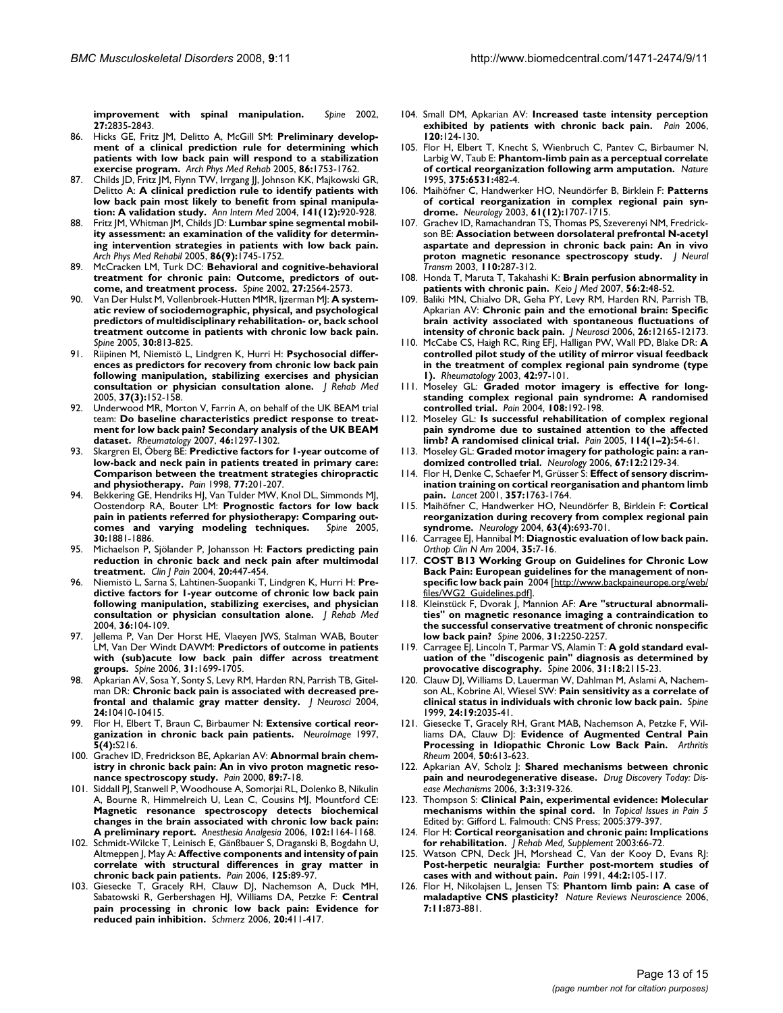**[improvement with spinal manipulation.](http://www.ncbi.nlm.nih.gov/entrez/query.fcgi?cmd=Retrieve&db=PubMed&dopt=Abstract&list_uids=12486357)** *Spine* 2002, **27:**2835-2843.

- 86. Hicks GE, Fritz JM, Delitto A, McGill SM: **Preliminary development of a clinical prediction rule for determining which patients with low back pain will respond to a stabilization exercise program.** *Arch Phys Med Rehab* 2005, **86:**1753-1762.
- 87. Childs JD, Fritz JM, Flynn TW, Irrgang JJ, Johnson KK, Majkowski GR, Delitto A: **[A clinical prediction rule to identify patients with](http://www.ncbi.nlm.nih.gov/entrez/query.fcgi?cmd=Retrieve&db=PubMed&dopt=Abstract&list_uids=15611489) [low back pain most likely to benefit from spinal manipula](http://www.ncbi.nlm.nih.gov/entrez/query.fcgi?cmd=Retrieve&db=PubMed&dopt=Abstract&list_uids=15611489)[tion: A validation study.](http://www.ncbi.nlm.nih.gov/entrez/query.fcgi?cmd=Retrieve&db=PubMed&dopt=Abstract&list_uids=15611489)** *Ann Intern Med* 2004, **141(12):**920-928.
- 88. Fritz JM, Whitman JM, Childs JD: **[Lumbar spine segmental mobil](http://www.ncbi.nlm.nih.gov/entrez/query.fcgi?cmd=Retrieve&db=PubMed&dopt=Abstract&list_uids=16181937)[ity assessment: an examination of the validity for determin](http://www.ncbi.nlm.nih.gov/entrez/query.fcgi?cmd=Retrieve&db=PubMed&dopt=Abstract&list_uids=16181937)[ing intervention strategies in patients with low back pain.](http://www.ncbi.nlm.nih.gov/entrez/query.fcgi?cmd=Retrieve&db=PubMed&dopt=Abstract&list_uids=16181937)** *Arch Phys Med Rehabil* 2005, **86(9):**1745-1752.
- 89. McCracken LM, Turk DC: **[Behavioral and cognitive-behavioral](http://www.ncbi.nlm.nih.gov/entrez/query.fcgi?cmd=Retrieve&db=PubMed&dopt=Abstract&list_uids=12435995) [treatment for chronic pain: Outcome, predictors of out](http://www.ncbi.nlm.nih.gov/entrez/query.fcgi?cmd=Retrieve&db=PubMed&dopt=Abstract&list_uids=12435995)[come, and treatment process.](http://www.ncbi.nlm.nih.gov/entrez/query.fcgi?cmd=Retrieve&db=PubMed&dopt=Abstract&list_uids=12435995)** *Spine* 2002, **27:**2564-2573.
- 90. Van Der Hulst M, Vollenbroek-Hutten MMR, Ijzerman MJ: [A system](http://www.ncbi.nlm.nih.gov/entrez/query.fcgi?cmd=Retrieve&db=PubMed&dopt=Abstract&list_uids=15803086)**[atic review of sociodemographic, physical, and psychological](http://www.ncbi.nlm.nih.gov/entrez/query.fcgi?cmd=Retrieve&db=PubMed&dopt=Abstract&list_uids=15803086) predictors of multidisciplinary rehabilitation- or, back school treatment outcome in patients with chronic low back pain.** *Spine* 2005, **30:**813-825.
- 91. Riipinen M, Niemistö L, Lindgren K, Hurri H: **[Psychosocial differ](http://www.ncbi.nlm.nih.gov/entrez/query.fcgi?cmd=Retrieve&db=PubMed&dopt=Abstract&list_uids=16040472)[ences as predictors for recovery from chronic low back pain](http://www.ncbi.nlm.nih.gov/entrez/query.fcgi?cmd=Retrieve&db=PubMed&dopt=Abstract&list_uids=16040472) following manipulation, stabilizing exercises and physician [consultation or physician consultation alone.](http://www.ncbi.nlm.nih.gov/entrez/query.fcgi?cmd=Retrieve&db=PubMed&dopt=Abstract&list_uids=16040472)** *J Rehab Med* 2005, **37(3):**152-158.
- 92. Underwood MR, Morton V, Farrin A, on behalf of the UK BEAM trial team: **[Do baseline characteristics predict response to treat](http://www.ncbi.nlm.nih.gov/entrez/query.fcgi?cmd=Retrieve&db=PubMed&dopt=Abstract&list_uids=17522096)[ment for low back pain? Secondary analysis of the UK BEAM](http://www.ncbi.nlm.nih.gov/entrez/query.fcgi?cmd=Retrieve&db=PubMed&dopt=Abstract&list_uids=17522096) [dataset.](http://www.ncbi.nlm.nih.gov/entrez/query.fcgi?cmd=Retrieve&db=PubMed&dopt=Abstract&list_uids=17522096)** *Rheumatology* 2007, **46:**1297-1302.
- 93. Skargren EI, Öberg BE: **[Predictive factors for 1-year outcome of](http://www.ncbi.nlm.nih.gov/entrez/query.fcgi?cmd=Retrieve&db=PubMed&dopt=Abstract&list_uids=9766838) [low-back and neck pain in patients treated in primary care:](http://www.ncbi.nlm.nih.gov/entrez/query.fcgi?cmd=Retrieve&db=PubMed&dopt=Abstract&list_uids=9766838) Comparison between the treatment strategies chiropractic [and physiotherapy.](http://www.ncbi.nlm.nih.gov/entrez/query.fcgi?cmd=Retrieve&db=PubMed&dopt=Abstract&list_uids=9766838)** *Pain* 1998, **77:**201-207.
- 94. Bekkering GE, Hendriks HJ, Van Tulder MW, Knol DL, Simmonds MJ, Oostendorp RA, Bouter LM: **[Prognostic factors for low back](http://www.ncbi.nlm.nih.gov/entrez/query.fcgi?cmd=Retrieve&db=PubMed&dopt=Abstract&list_uids=16103860) [pain in patients referred for physiotherapy: Comparing out](http://www.ncbi.nlm.nih.gov/entrez/query.fcgi?cmd=Retrieve&db=PubMed&dopt=Abstract&list_uids=16103860)[comes and varying modeling techniques.](http://www.ncbi.nlm.nih.gov/entrez/query.fcgi?cmd=Retrieve&db=PubMed&dopt=Abstract&list_uids=16103860)** *Spine* 2005, **30:**1881-1886.
- 95. Michaelson P, Sjölander P, Johansson H: **[Factors predicting pain](http://www.ncbi.nlm.nih.gov/entrez/query.fcgi?cmd=Retrieve&db=PubMed&dopt=Abstract&list_uids=15502689) [reduction in chronic back and neck pain after multimodal](http://www.ncbi.nlm.nih.gov/entrez/query.fcgi?cmd=Retrieve&db=PubMed&dopt=Abstract&list_uids=15502689) [treatment.](http://www.ncbi.nlm.nih.gov/entrez/query.fcgi?cmd=Retrieve&db=PubMed&dopt=Abstract&list_uids=15502689)** *Clin J Pain* 2004, **20:**447-454.
- 96. Niemistö L, Sarna S, Lahtinen-Suopanki T, Lindgren K, Hurri H: **Predictive factors for 1-year outcome of chronic low back pain following manipulation, stabilizing exercises, and physician consultation or physician consultation alone.** *J Rehab Med* 2004, **36:**104-109.
- 97. Jellema P, Van Der Horst HE, Vlaeyen JWS, Stalman WAB, Bouter LM, Van Der Windt DAWM: **[Predictors of outcome in patients](http://www.ncbi.nlm.nih.gov/entrez/query.fcgi?cmd=Retrieve&db=PubMed&dopt=Abstract&list_uids=16816766) [with \(sub\)acute low back pain differ across treatment](http://www.ncbi.nlm.nih.gov/entrez/query.fcgi?cmd=Retrieve&db=PubMed&dopt=Abstract&list_uids=16816766) [groups.](http://www.ncbi.nlm.nih.gov/entrez/query.fcgi?cmd=Retrieve&db=PubMed&dopt=Abstract&list_uids=16816766)** *Spine* 2006, **31:**1699-1705.
- 98. Apkarian AV, Sosa Y, Sonty S, Levy RM, Harden RN, Parrish TB, Gitelman DR: **[Chronic back pain is associated with decreased pre](http://www.ncbi.nlm.nih.gov/entrez/query.fcgi?cmd=Retrieve&db=PubMed&dopt=Abstract&list_uids=15548656)[frontal and thalamic gray matter density.](http://www.ncbi.nlm.nih.gov/entrez/query.fcgi?cmd=Retrieve&db=PubMed&dopt=Abstract&list_uids=15548656)** *J Neurosci* 2004, **24:**10410-10415.
- 99. Flor H, Elbert T, Braun C, Birbaumer N: **Extensive cortical reorganization in chronic back pain patients.** *NeuroImage* 1997, **5(4):**S216.
- 100. Grachev ID, Fredrickson BE, Apkarian AV: **[Abnormal brain chem](http://www.ncbi.nlm.nih.gov/entrez/query.fcgi?cmd=Retrieve&db=PubMed&dopt=Abstract&list_uids=11113288)[istry in chronic back pain: An in vivo proton magnetic reso](http://www.ncbi.nlm.nih.gov/entrez/query.fcgi?cmd=Retrieve&db=PubMed&dopt=Abstract&list_uids=11113288)[nance spectroscopy study.](http://www.ncbi.nlm.nih.gov/entrez/query.fcgi?cmd=Retrieve&db=PubMed&dopt=Abstract&list_uids=11113288)** *Pain* 2000, **89:**7-18.
- 101. Siddall PJ, Stanwell P, Woodhouse A, Somorjai RL, Dolenko B, Nikulin A, Bourne R, Himmelreich U, Lean C, Cousins MJ, Mountford CE: **[Magnetic resonance spectroscopy detects biochemical](http://www.ncbi.nlm.nih.gov/entrez/query.fcgi?cmd=Retrieve&db=PubMed&dopt=Abstract&list_uids=16551917) changes in the brain associated with chronic low back pain: [A preliminary report.](http://www.ncbi.nlm.nih.gov/entrez/query.fcgi?cmd=Retrieve&db=PubMed&dopt=Abstract&list_uids=16551917)** *Anesthesia Analgesia* 2006, **102:**1164-1168.
- 102. Schmidt-Wilcke T, Leinisch E, Gänßbauer S, Draganski B, Bogdahn U, Altmeppen J, May A: **[Affective components and intensity of pain](http://www.ncbi.nlm.nih.gov/entrez/query.fcgi?cmd=Retrieve&db=PubMed&dopt=Abstract&list_uids=16750298) [correlate with structural differences in gray matter in](http://www.ncbi.nlm.nih.gov/entrez/query.fcgi?cmd=Retrieve&db=PubMed&dopt=Abstract&list_uids=16750298) [chronic back pain patients.](http://www.ncbi.nlm.nih.gov/entrez/query.fcgi?cmd=Retrieve&db=PubMed&dopt=Abstract&list_uids=16750298)** *Pain* 2006, **125:**89-97.
- 103. Giesecke T, Gracely RH, Clauw DJ, Nachemson A, Duck MH, Sabatowski R, Gerbershagen HJ, Williams DA, Petzke F: **Central pain processing in chronic low back pain: Evidence for reduced pain inhibition.** *Schmerz* 2006, **20:**411-417.
- 104. Small DM, Apkarian AV: **[Increased taste intensity perception](http://www.ncbi.nlm.nih.gov/entrez/query.fcgi?cmd=Retrieve&db=PubMed&dopt=Abstract&list_uids=16360267) [exhibited by patients with chronic back pain.](http://www.ncbi.nlm.nih.gov/entrez/query.fcgi?cmd=Retrieve&db=PubMed&dopt=Abstract&list_uids=16360267)** *Pain* 2006, **120:**124-130.
- 105. Flor H, Elbert T, Knecht S, Wienbruch C, Pantev C, Birbaumer N, Larbig W, Taub E: **Phantom-limb pain as a perceptual correlate of cortical reorganization following arm amputation.** *Nature* 1995, **375:6531:**482-4.
- 106. Maihöfner C, Handwerker HO, Neundörfer B, Birklein F: **[Patterns](http://www.ncbi.nlm.nih.gov/entrez/query.fcgi?cmd=Retrieve&db=PubMed&dopt=Abstract&list_uids=14694034) [of cortical reorganization in complex regional pain syn](http://www.ncbi.nlm.nih.gov/entrez/query.fcgi?cmd=Retrieve&db=PubMed&dopt=Abstract&list_uids=14694034)[drome.](http://www.ncbi.nlm.nih.gov/entrez/query.fcgi?cmd=Retrieve&db=PubMed&dopt=Abstract&list_uids=14694034)** *Neurology* 2003, **61(12):**1707-1715.
- 107. Grachev ID, Ramachandran TS, Thomas PS, Szeverenyi NM, Fredrickson BE: **[Association between dorsolateral prefrontal N-acetyl](http://www.ncbi.nlm.nih.gov/entrez/query.fcgi?cmd=Retrieve&db=PubMed&dopt=Abstract&list_uids=12658377) [aspartate and depression in chronic back pain: An in vivo](http://www.ncbi.nlm.nih.gov/entrez/query.fcgi?cmd=Retrieve&db=PubMed&dopt=Abstract&list_uids=12658377) [proton magnetic resonance spectroscopy study.](http://www.ncbi.nlm.nih.gov/entrez/query.fcgi?cmd=Retrieve&db=PubMed&dopt=Abstract&list_uids=12658377)** *J Neural Transm* 2003, **110:**287-312.
- 108. Honda T, Maruta T, Takahashi K: **Brain perfusion abnormality in patients with chronic pain.** *Keio J Med* 2007, **56:2:**48-52.
- 109. Baliki MN, Chialvo DR, Geha PY, Levy RM, Harden RN, Parrish TB, Apkarian AV: **[Chronic pain and the emotional brain: Specific](http://www.ncbi.nlm.nih.gov/entrez/query.fcgi?cmd=Retrieve&db=PubMed&dopt=Abstract&list_uids=17122041) [brain activity associated with spontaneous fluctuations of](http://www.ncbi.nlm.nih.gov/entrez/query.fcgi?cmd=Retrieve&db=PubMed&dopt=Abstract&list_uids=17122041) [intensity of chronic back pain.](http://www.ncbi.nlm.nih.gov/entrez/query.fcgi?cmd=Retrieve&db=PubMed&dopt=Abstract&list_uids=17122041)** *J Neurosci* 2006, **26:**12165-12173.
- 110. McCabe CS, Haigh RC, Ring EFJ, Halligan PW, Wall PD, Blake DR: **[A](http://www.ncbi.nlm.nih.gov/entrez/query.fcgi?cmd=Retrieve&db=PubMed&dopt=Abstract&list_uids=12509620) [controlled pilot study of the utility of mirror visual feedback](http://www.ncbi.nlm.nih.gov/entrez/query.fcgi?cmd=Retrieve&db=PubMed&dopt=Abstract&list_uids=12509620) in the treatment of complex regional pain syndrome (type [1\).](http://www.ncbi.nlm.nih.gov/entrez/query.fcgi?cmd=Retrieve&db=PubMed&dopt=Abstract&list_uids=12509620)** *Rheumatology* 2003, **42:**97-101.
- 111. Moseley GL: **[Graded motor imagery is effective for long](http://www.ncbi.nlm.nih.gov/entrez/query.fcgi?cmd=Retrieve&db=PubMed&dopt=Abstract&list_uids=15109523)[standing complex regional pain syndrome: A randomised](http://www.ncbi.nlm.nih.gov/entrez/query.fcgi?cmd=Retrieve&db=PubMed&dopt=Abstract&list_uids=15109523) [controlled trial.](http://www.ncbi.nlm.nih.gov/entrez/query.fcgi?cmd=Retrieve&db=PubMed&dopt=Abstract&list_uids=15109523)** *Pain* 2004, **108:**192-198.
- 112. Moseley GL: **[Is successful rehabilitation of complex regional](http://www.ncbi.nlm.nih.gov/entrez/query.fcgi?cmd=Retrieve&db=PubMed&dopt=Abstract&list_uids=15733631) [pain syndrome due to sustained attention to the affected](http://www.ncbi.nlm.nih.gov/entrez/query.fcgi?cmd=Retrieve&db=PubMed&dopt=Abstract&list_uids=15733631) [limb? A randomised clinical trial.](http://www.ncbi.nlm.nih.gov/entrez/query.fcgi?cmd=Retrieve&db=PubMed&dopt=Abstract&list_uids=15733631)** *Pain* 2005, **114(1–2):**54-61.
- 113. Moseley GL: **Graded motor imagery for pathologic pain: a randomized controlled trial.** *Neurology* 2006, **67:12:**2129-34.
- 114. Flor H, Denke C, Schaefer M, Grüsser S: **[Effect of sensory discrim](http://www.ncbi.nlm.nih.gov/entrez/query.fcgi?cmd=Retrieve&db=PubMed&dopt=Abstract&list_uids=11403816)[ination training on cortical reorganisation and phantom limb](http://www.ncbi.nlm.nih.gov/entrez/query.fcgi?cmd=Retrieve&db=PubMed&dopt=Abstract&list_uids=11403816) [pain.](http://www.ncbi.nlm.nih.gov/entrez/query.fcgi?cmd=Retrieve&db=PubMed&dopt=Abstract&list_uids=11403816)** *Lancet* 2001, **357:**1763-1764.
- 115. Maihöfner C, Handwerker HO, Neundörfer B, Birklein F: **[Cortical](http://www.ncbi.nlm.nih.gov/entrez/query.fcgi?cmd=Retrieve&db=PubMed&dopt=Abstract&list_uids=15326245) [reorganization during recovery from complex regional pain](http://www.ncbi.nlm.nih.gov/entrez/query.fcgi?cmd=Retrieve&db=PubMed&dopt=Abstract&list_uids=15326245) [syndrome.](http://www.ncbi.nlm.nih.gov/entrez/query.fcgi?cmd=Retrieve&db=PubMed&dopt=Abstract&list_uids=15326245)** *Neurology* 2004, **63(4):**693-701.
- 116. Carragee EJ, Hannibal M: **Diagnostic evaluation of low back pain.** *Orthop Clin N Am* 2004, **35:**7-16.
- 117. **COST B13 Working Group on Guidelines for Chronic Low Back Pain: European guidelines for the management of nonspecific low back pain** 2004 [\[http://www.backpaineurope.org/web/](http://www.backpaineurope.org/web/files/WG2_Guidelines.pdf) [files/WG2\\_Guidelines.pdf\]](http://www.backpaineurope.org/web/files/WG2_Guidelines.pdf).
- 118. Kleinstück F, Dvorak J, Mannion AF: **[Are "structural abnormali](http://www.ncbi.nlm.nih.gov/entrez/query.fcgi?cmd=Retrieve&db=PubMed&dopt=Abstract&list_uids=16946663)[ties" on magnetic resonance imaging a contraindication to](http://www.ncbi.nlm.nih.gov/entrez/query.fcgi?cmd=Retrieve&db=PubMed&dopt=Abstract&list_uids=16946663) the successful conservative treatment of chronic nonspecific [low back pain?](http://www.ncbi.nlm.nih.gov/entrez/query.fcgi?cmd=Retrieve&db=PubMed&dopt=Abstract&list_uids=16946663)** *Spine* 2006, **31:**2250-2257.
- 119. Carragee EJ, Lincoln T, Parmar VS, Alamin T: A gold standard eval**uation of the "discogenic pain" diagnosis as determined by provocative discography.** *Spine* 2006, **31:18:**2115-23.
- 120. Clauw DJ, Williams D, Lauerman W, Dahlman M, Aslami A, Nachemson AL, Kobrine AI, Wiesel SW: **Pain sensitivity as a correlate of clinical status in individuals with chronic low back pain.** *Spine* 1999, **24:19:**2035-41.
- 121. Giesecke T, Gracely RH, Grant MAB, Nachemson A, Petzke F, Williams DA, Clauw DJ: **[Evidence of Augmented Central Pain](http://www.ncbi.nlm.nih.gov/entrez/query.fcgi?cmd=Retrieve&db=PubMed&dopt=Abstract&list_uids=14872506) [Processing in Idiopathic Chronic Low Back Pain.](http://www.ncbi.nlm.nih.gov/entrez/query.fcgi?cmd=Retrieve&db=PubMed&dopt=Abstract&list_uids=14872506)** *Arthritis Rheum* 2004, **50:**613-623.
- 122. Apkarian AV, Scholz J: **Shared mechanisms between chronic pain and neurodegenerative disease.** *Drug Discovery Today: Disease Mechanisms* 2006, **3:3:**319-326.
- 123. Thompson S: **Clinical Pain, experimental evidence: Molecular mechanisms within the spinal cord.** In *Topical Issues in Pain 5* Edited by: Gifford L. Falmouth: CNS Press; 2005:379-397.
- 124. Flor H: **Cortical reorganisation and chronic pain: Implications for rehabilitation.** *J Rehab Med, Supplement* 2003:66-72.
- 125. Watson CPN, Deck JH, Morshead C, Van der Kooy D, Evans RJ: **Post-herpetic neuralgia: Further post-mortem studies of cases with and without pain.** *Pain* 1991, **44:2:**105-117.
- 126. Flor H, Nikolajsen L, Jensen TS: **Phantom limb pain: A case of maladaptive CNS plasticity?** *Nature Reviews Neuroscience* 2006, **7:11:**873-881.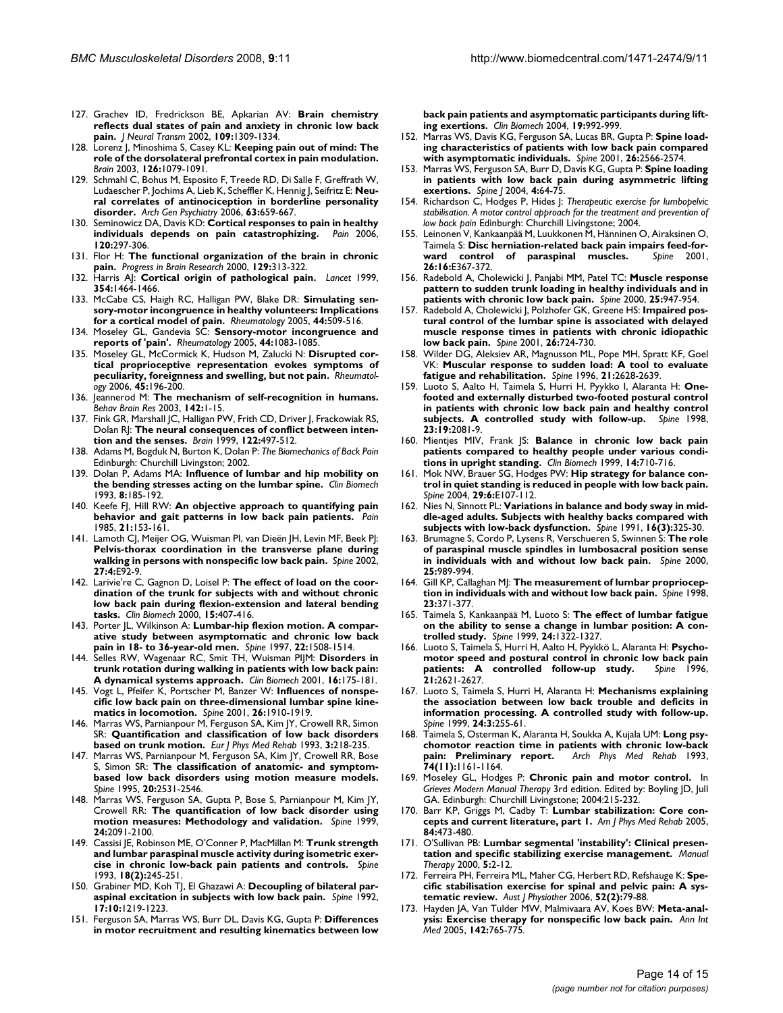- 127. Grachev ID, Fredrickson BE, Apkarian AV: **[Brain chemistry](http://www.ncbi.nlm.nih.gov/entrez/query.fcgi?cmd=Retrieve&db=PubMed&dopt=Abstract&list_uids=12373563) [reflects dual states of pain and anxiety in chronic low back](http://www.ncbi.nlm.nih.gov/entrez/query.fcgi?cmd=Retrieve&db=PubMed&dopt=Abstract&list_uids=12373563) [pain.](http://www.ncbi.nlm.nih.gov/entrez/query.fcgi?cmd=Retrieve&db=PubMed&dopt=Abstract&list_uids=12373563)** *J Neural Transm* 2002, **109:**1309-1334.
- 128. Lorenz J, Minoshima S, Casey KL: **[Keeping pain out of mind: The](http://www.ncbi.nlm.nih.gov/entrez/query.fcgi?cmd=Retrieve&db=PubMed&dopt=Abstract&list_uids=12690048) [role of the dorsolateral prefrontal cortex in pain modulation.](http://www.ncbi.nlm.nih.gov/entrez/query.fcgi?cmd=Retrieve&db=PubMed&dopt=Abstract&list_uids=12690048)** *Brain* 2003, **126:**1079-1091.
- 129. Schmahl C, Bohus M, Esposito F, Treede RD, Di Salle F, Greffrath W, Ludaescher P, Jochims A, Lieb K, Scheffler K, Hennig J, Seifritz E: **[Neu](http://www.ncbi.nlm.nih.gov/entrez/query.fcgi?cmd=Retrieve&db=PubMed&dopt=Abstract&list_uids=16754839)[ral correlates of antinociception in borderline personality](http://www.ncbi.nlm.nih.gov/entrez/query.fcgi?cmd=Retrieve&db=PubMed&dopt=Abstract&list_uids=16754839) [disorder.](http://www.ncbi.nlm.nih.gov/entrez/query.fcgi?cmd=Retrieve&db=PubMed&dopt=Abstract&list_uids=16754839)** *Arch Gen Psychiatry* 2006, **63:**659-667.
- 130. Seminowicz DA, Davis KD: **[Cortical responses to pain in healthy](http://www.ncbi.nlm.nih.gov/entrez/query.fcgi?cmd=Retrieve&db=PubMed&dopt=Abstract&list_uids=16427738) [individuals depends on pain catastrophizing.](http://www.ncbi.nlm.nih.gov/entrez/query.fcgi?cmd=Retrieve&db=PubMed&dopt=Abstract&list_uids=16427738)** *Pain* 2006, **120:**297-306.
- 131. Flor H: **[The functional organization of the brain in chronic](http://www.ncbi.nlm.nih.gov/entrez/query.fcgi?cmd=Retrieve&db=PubMed&dopt=Abstract&list_uids=11098699) [pain.](http://www.ncbi.nlm.nih.gov/entrez/query.fcgi?cmd=Retrieve&db=PubMed&dopt=Abstract&list_uids=11098699)** *Progress in Brain Research* 2000, **129:**313-322.
- 132. Harris AJ: **[Cortical origin of pathological pain.](http://www.ncbi.nlm.nih.gov/entrez/query.fcgi?cmd=Retrieve&db=PubMed&dopt=Abstract&list_uids=10543687)** *Lancet* 1999, **354:**1464-1466.
- 133. McCabe CS, Haigh RC, Halligan PW, Blake DR: **[Simulating sen](http://www.ncbi.nlm.nih.gov/entrez/query.fcgi?cmd=Retrieve&db=PubMed&dopt=Abstract&list_uids=15644392)[sory-motor incongruence in healthy volunteers: Implications](http://www.ncbi.nlm.nih.gov/entrez/query.fcgi?cmd=Retrieve&db=PubMed&dopt=Abstract&list_uids=15644392) [for a cortical model of pain.](http://www.ncbi.nlm.nih.gov/entrez/query.fcgi?cmd=Retrieve&db=PubMed&dopt=Abstract&list_uids=15644392)** *Rheumatology* 2005, **44:**509-516.
- 134. Moseley GL, Gandevia SC: **[Sensory-motor incongruence and](http://www.ncbi.nlm.nih.gov/entrez/query.fcgi?cmd=Retrieve&db=PubMed&dopt=Abstract&list_uids=15827043) [reports of 'pain'.](http://www.ncbi.nlm.nih.gov/entrez/query.fcgi?cmd=Retrieve&db=PubMed&dopt=Abstract&list_uids=15827043)** *Rheumatology* 2005, **44:**1083-1085.
- 135. Moseley GL, McCormick K, Hudson M, Zalucki N: **[Disrupted cor](http://www.ncbi.nlm.nih.gov/entrez/query.fcgi?cmd=Retrieve&db=PubMed&dopt=Abstract&list_uids=16377731)[tical proprioceptive representation evokes symptoms of](http://www.ncbi.nlm.nih.gov/entrez/query.fcgi?cmd=Retrieve&db=PubMed&dopt=Abstract&list_uids=16377731) [peculiarity, foreignness and swelling, but not pain.](http://www.ncbi.nlm.nih.gov/entrez/query.fcgi?cmd=Retrieve&db=PubMed&dopt=Abstract&list_uids=16377731)** *Rheumatology* 2006, **45:**196-200.
- 136. Jeannerod M: **[The mechanism of self-recognition in humans.](http://www.ncbi.nlm.nih.gov/entrez/query.fcgi?cmd=Retrieve&db=PubMed&dopt=Abstract&list_uids=12798261)** *Behav Brain Res* 2003, **142:**1-15.
- 137. Fink GR, Marshall JC, Halligan PW, Frith CD, Driver J, Frackowiak RS, Dolan RJ: **[The neural consequences of conflict between inten](http://www.ncbi.nlm.nih.gov/entrez/query.fcgi?cmd=Retrieve&db=PubMed&dopt=Abstract&list_uids=10094258)[tion and the senses.](http://www.ncbi.nlm.nih.gov/entrez/query.fcgi?cmd=Retrieve&db=PubMed&dopt=Abstract&list_uids=10094258)** *Brain* 1999, **122:**497-512.
- 138. Adams M, Bogduk N, Burton K, Dolan P: *The Biomechanics of Back Pain* Edinburgh: Churchill Livingston; 2002.
- 139. Dolan P, Adams MA: **Influence of lumbar and hip mobility on the bending stresses acting on the lumbar spine.** *Clin Biomech* 1993, **8:**185-192.
- 140. Keefe FJ, Hill RW: **[An objective approach to quantifying pain](http://www.ncbi.nlm.nih.gov/entrez/query.fcgi?cmd=Retrieve&db=PubMed&dopt=Abstract&list_uids=3157094) [behavior and gait patterns in low back pain patients.](http://www.ncbi.nlm.nih.gov/entrez/query.fcgi?cmd=Retrieve&db=PubMed&dopt=Abstract&list_uids=3157094)** *Pain* 1985, **21:**153-161.
- 141. Lamoth CJ, Meijer OG, Wuisman PI, van Dieën JH, Levin MF, Beek PJ: **Pelvis-thorax coordination in the transverse plane during walking in persons with nonspecific low back pain.** *Spine* 2002, **27:4:**E92-9.
- 142. Larivie're C, Gagnon D, Loisel P: **The effect of load on the coordination of the trunk for subjects with and without chronic low back pain during flexion-extension and lateral bending tasks.** *Clin Biomech* 2000, **15:**407-416.
- 143. Porter JL, Wilkinson A: **[Lumbar-hip flexion motion. A compar](http://www.ncbi.nlm.nih.gov/entrez/query.fcgi?cmd=Retrieve&db=PubMed&dopt=Abstract&list_uids=9231971)[ative study between asymptomatic and chronic low back](http://www.ncbi.nlm.nih.gov/entrez/query.fcgi?cmd=Retrieve&db=PubMed&dopt=Abstract&list_uids=9231971) [pain in 18- to 36-year-old men.](http://www.ncbi.nlm.nih.gov/entrez/query.fcgi?cmd=Retrieve&db=PubMed&dopt=Abstract&list_uids=9231971)** *Spine* 1997, **22:**1508-1514.
- 144. Selles RW, Wagenaar RC, Smit TH, Wuisman PIJM: **Disorders in trunk rotation during walking in patients with low back pain: A dynamical systems approach.** *Clin Biomech* 2001, **16:**175-181.
- 145. Vogt L, Pfeifer K, Portscher M, Banzer W: **[Influences of nonspe](http://www.ncbi.nlm.nih.gov/entrez/query.fcgi?cmd=Retrieve&db=PubMed&dopt=Abstract&list_uids=11568705)[cific low back pain on three-dimensional lumbar spine kine](http://www.ncbi.nlm.nih.gov/entrez/query.fcgi?cmd=Retrieve&db=PubMed&dopt=Abstract&list_uids=11568705)[matics in locomotion.](http://www.ncbi.nlm.nih.gov/entrez/query.fcgi?cmd=Retrieve&db=PubMed&dopt=Abstract&list_uids=11568705)** *Spine* 2001, **26:**1910-1919.
- 146. Marras WS, Parnianpour M, Ferguson SA, Kim JY, Crowell RR, Simon SR: **Quantification and classification of low back disorders based on trunk motion.** *Eur J Phys Med Rehab* 1993, **3:**218-235.
- 147. Marras WS, Parnianpour M, Ferguson SA, Kim JY, Crowell RR, Bose S, Simon SR: **[The classification of anatomic- and symptom](http://www.ncbi.nlm.nih.gov/entrez/query.fcgi?cmd=Retrieve&db=PubMed&dopt=Abstract&list_uids=8610248)[based low back disorders using motion measure models.](http://www.ncbi.nlm.nih.gov/entrez/query.fcgi?cmd=Retrieve&db=PubMed&dopt=Abstract&list_uids=8610248)** *Spine* 1995, **20:**2531-2546.
- 148. Marras WS, Ferguson SA, Gupta P, Bose S, Parnianpour M, Kim JY, Crowell RR: **[The quantification of low back disorder using](http://www.ncbi.nlm.nih.gov/entrez/query.fcgi?cmd=Retrieve&db=PubMed&dopt=Abstract&list_uids=10543004) [motion measures: Methodology and validation.](http://www.ncbi.nlm.nih.gov/entrez/query.fcgi?cmd=Retrieve&db=PubMed&dopt=Abstract&list_uids=10543004)** *Spine* 1999, **24:**2091-2100.
- 149. Cassisi JE, Robinson ME, O'Conner P, MacMillan M: **[Trunk strength](http://www.ncbi.nlm.nih.gov/entrez/query.fcgi?cmd=Retrieve&db=PubMed&dopt=Abstract&list_uids=8441940) [and lumbar paraspinal muscle activity during isometric exer](http://www.ncbi.nlm.nih.gov/entrez/query.fcgi?cmd=Retrieve&db=PubMed&dopt=Abstract&list_uids=8441940)[cise in chronic low-back pain patients and controls.](http://www.ncbi.nlm.nih.gov/entrez/query.fcgi?cmd=Retrieve&db=PubMed&dopt=Abstract&list_uids=8441940)** *Spine* 1993, **18(2):**245-251.
- 150. Grabiner MD, Koh TJ, El Ghazawi A: **Decoupling of bilateral paraspinal excitation in subjects with low back pain.** *Spine* 1992, **17:10:**1219-1223.
- 151. Ferguson SA, Marras WS, Burr DL, Davis KG, Gupta P: **Differences in motor recruitment and resulting kinematics between low**

**back pain patients and asymptomatic participants during lifting exertions.** *Clin Biomech* 2004, **19:**992-999.

- 152. Marras WS, Davis KG, Ferguson SA, Lucas BR, Gupta P: **[Spine load](http://www.ncbi.nlm.nih.gov/entrez/query.fcgi?cmd=Retrieve&db=PubMed&dopt=Abstract&list_uids=11725237)[ing characteristics of patients with low back pain compared](http://www.ncbi.nlm.nih.gov/entrez/query.fcgi?cmd=Retrieve&db=PubMed&dopt=Abstract&list_uids=11725237) [with asymptomatic individuals.](http://www.ncbi.nlm.nih.gov/entrez/query.fcgi?cmd=Retrieve&db=PubMed&dopt=Abstract&list_uids=11725237)** *Spine* 2001, **26:**2566-2574.
- 153. Marras WS, Ferguson SA, Burr D, Davis KG, Gupta P: **[Spine loading](http://www.ncbi.nlm.nih.gov/entrez/query.fcgi?cmd=Retrieve&db=PubMed&dopt=Abstract&list_uids=14749195) [in patients with low back pain during asymmetric lifting](http://www.ncbi.nlm.nih.gov/entrez/query.fcgi?cmd=Retrieve&db=PubMed&dopt=Abstract&list_uids=14749195) [exertions.](http://www.ncbi.nlm.nih.gov/entrez/query.fcgi?cmd=Retrieve&db=PubMed&dopt=Abstract&list_uids=14749195)** *Spine J* 2004, **4:**64-75.
- 154. Richardson C, Hodges P, Hides J: *Therapeutic exercise for lumbopelvic stabilisation. A motor control approach for the treatment and prevention of low back pain* Edinburgh: Churchill Livingstone; 2004.
- 155. Leinonen V, Kankaanpää M, Luukkonen M, Hänninen O, Airaksinen O, Taimela S: **Disc herniation-related back pain impairs feed-forward control of paraspinal muscles.** *Spine* 2001, **26:16:**E367-372.
- 156. Radebold A, Cholewicki J, Panjabi MM, Patel TC: **[Muscle response](http://www.ncbi.nlm.nih.gov/entrez/query.fcgi?cmd=Retrieve&db=PubMed&dopt=Abstract&list_uids=10767807) [pattern to sudden trunk loading in healthy individuals and in](http://www.ncbi.nlm.nih.gov/entrez/query.fcgi?cmd=Retrieve&db=PubMed&dopt=Abstract&list_uids=10767807) [patients with chronic low back pain.](http://www.ncbi.nlm.nih.gov/entrez/query.fcgi?cmd=Retrieve&db=PubMed&dopt=Abstract&list_uids=10767807)** *Spine* 2000, **25:**947-954.
- 157. Radebold A, Cholewicki J, Polzhofer GK, Greene HS: **[Impaired pos](http://www.ncbi.nlm.nih.gov/entrez/query.fcgi?cmd=Retrieve&db=PubMed&dopt=Abstract&list_uids=11295888)[tural control of the lumbar spine is associated with delayed](http://www.ncbi.nlm.nih.gov/entrez/query.fcgi?cmd=Retrieve&db=PubMed&dopt=Abstract&list_uids=11295888) muscle response times in patients with chronic idiopathic [low back pain.](http://www.ncbi.nlm.nih.gov/entrez/query.fcgi?cmd=Retrieve&db=PubMed&dopt=Abstract&list_uids=11295888)** *Spine* 2001, **26:**724-730.
- 158. Wilder DG, Aleksiev AR, Magnusson ML, Pope MH, Spratt KF, Goel VK: **[Muscular response to sudden load: A tool to evaluate](http://www.ncbi.nlm.nih.gov/entrez/query.fcgi?cmd=Retrieve&db=PubMed&dopt=Abstract&list_uids=9045348) [fatigue and rehabilitation.](http://www.ncbi.nlm.nih.gov/entrez/query.fcgi?cmd=Retrieve&db=PubMed&dopt=Abstract&list_uids=9045348)** *Spine* 1996, **21:**2628-2639.
- 159. Luoto S, Aalto H, Taimela S, Hurri H, Pyykko I, Alaranta H: **Onefooted and externally disturbed two-footed postural control in patients with chronic low back pain and healthy control subjects. A controlled study with follow-up.** *Spine* 1998, **23:19:**2081-9.
- 160. Mientjes MIV, Frank JS: **Balance in chronic low back pain patients compared to healthy people under various conditions in upright standing.** *Clin Biomech* 1999, **14:**710-716.
- 161. Mok NW, Brauer SG, Hodges PW: **Hip strategy for balance control in quiet standing is reduced in people with low back pain.** *Spine* 2004, **29:6:**E107-112.
- 162. Nies N, Sinnott PL: **[Variations in balance and body sway in mid](http://www.ncbi.nlm.nih.gov/entrez/query.fcgi?cmd=Retrieve&db=PubMed&dopt=Abstract&list_uids=1827539)[dle-aged adults. Subjects with healthy backs compared with](http://www.ncbi.nlm.nih.gov/entrez/query.fcgi?cmd=Retrieve&db=PubMed&dopt=Abstract&list_uids=1827539) [subjects with low-back dysfunction.](http://www.ncbi.nlm.nih.gov/entrez/query.fcgi?cmd=Retrieve&db=PubMed&dopt=Abstract&list_uids=1827539)** *Spine* 1991, **16(3):**325-30.
- 163. Brumagne S, Cordo P, Lysens R, Verschueren S, Swinnen S: **[The role](http://www.ncbi.nlm.nih.gov/entrez/query.fcgi?cmd=Retrieve&db=PubMed&dopt=Abstract&list_uids=10767813) [of paraspinal muscle spindles in lumbosacral position sense](http://www.ncbi.nlm.nih.gov/entrez/query.fcgi?cmd=Retrieve&db=PubMed&dopt=Abstract&list_uids=10767813) [in individuals with and without low back pain.](http://www.ncbi.nlm.nih.gov/entrez/query.fcgi?cmd=Retrieve&db=PubMed&dopt=Abstract&list_uids=10767813)** *Spine* 2000, **25:**989-994.
- 164. Gill KP, Callaghan MJ: **[The measurement of lumbar propriocep](http://www.ncbi.nlm.nih.gov/entrez/query.fcgi?cmd=Retrieve&db=PubMed&dopt=Abstract&list_uids=9507628)[tion in individuals with and without low back pain.](http://www.ncbi.nlm.nih.gov/entrez/query.fcgi?cmd=Retrieve&db=PubMed&dopt=Abstract&list_uids=9507628)** *Spine* 1998, **23:**371-377.
- 165. Taimela S, Kankaanpää M, Luoto S: **[The effect of lumbar fatigue](http://www.ncbi.nlm.nih.gov/entrez/query.fcgi?cmd=Retrieve&db=PubMed&dopt=Abstract&list_uids=10404574) [on the ability to sense a change in lumbar position: A con](http://www.ncbi.nlm.nih.gov/entrez/query.fcgi?cmd=Retrieve&db=PubMed&dopt=Abstract&list_uids=10404574)[trolled study.](http://www.ncbi.nlm.nih.gov/entrez/query.fcgi?cmd=Retrieve&db=PubMed&dopt=Abstract&list_uids=10404574)** *Spine* 1999, **24:**1322-1327.
- 166. Luoto S, Taimela S, Hurri H, Aalto H, Pyykkö L, Alaranta H: **[Psycho](http://www.ncbi.nlm.nih.gov/entrez/query.fcgi?cmd=Retrieve&db=PubMed&dopt=Abstract&list_uids=8961450)[motor speed and postural control in chronic low back pain](http://www.ncbi.nlm.nih.gov/entrez/query.fcgi?cmd=Retrieve&db=PubMed&dopt=Abstract&list_uids=8961450) [patients: A controlled follow-up study.](http://www.ncbi.nlm.nih.gov/entrez/query.fcgi?cmd=Retrieve&db=PubMed&dopt=Abstract&list_uids=8961450)** *Spine* 1996, **21:**2621-2627.
- 167. Luoto S, Taimela S, Hurri H, Alaranta H: **Mechanisms explaining the association between low back trouble and deficits in information processing. A controlled study with follow-up.** *Spine* 1999, **24:3:**255-61.
- 168. Taimela S, Osterman K, Alaranta H, Soukka A, Kujala UM: **[Long psy](http://www.ncbi.nlm.nih.gov/entrez/query.fcgi?cmd=Retrieve&db=PubMed&dopt=Abstract&list_uids=8239954)[chomotor reaction time in patients with chronic low-back](http://www.ncbi.nlm.nih.gov/entrez/query.fcgi?cmd=Retrieve&db=PubMed&dopt=Abstract&list_uids=8239954) [pain: Preliminary report.](http://www.ncbi.nlm.nih.gov/entrez/query.fcgi?cmd=Retrieve&db=PubMed&dopt=Abstract&list_uids=8239954)** *Arch Phys Med Rehab* 1993, **74(11):**1161-1164.
- 169. Moseley GL, Hodges P: **Chronic pain and motor control.** In *Grieves Modern Manual Therapy* 3rd edition. Edited by: Boyling JD, Jull GA. Edinburgh: Churchill Livingstone; 2004:215-232.
- 170. Barr KP, Griggs M, Cadby T: **Lumbar stabilization: Core concepts and current literature, part 1.** *Am J Phys Med Rehab* 2005, **84:**473-480.
- 171. O'Sullivan PB: **[Lumbar segmental 'instability': Clinical presen](http://www.ncbi.nlm.nih.gov/entrez/query.fcgi?cmd=Retrieve&db=PubMed&dopt=Abstract&list_uids=10688954)[tation and specific stabilizing exercise management.](http://www.ncbi.nlm.nih.gov/entrez/query.fcgi?cmd=Retrieve&db=PubMed&dopt=Abstract&list_uids=10688954)** *Manual Therapy* 2000, **5:**2-12.
- 172. Ferreira PH, Ferreira ML, Maher CG, Herbert RD, Refshauge K: **[Spe](http://www.ncbi.nlm.nih.gov/entrez/query.fcgi?cmd=Retrieve&db=PubMed&dopt=Abstract&list_uids=16764545)[cific stabilisation exercise for spinal and pelvic pain: A sys](http://www.ncbi.nlm.nih.gov/entrez/query.fcgi?cmd=Retrieve&db=PubMed&dopt=Abstract&list_uids=16764545)[tematic review.](http://www.ncbi.nlm.nih.gov/entrez/query.fcgi?cmd=Retrieve&db=PubMed&dopt=Abstract&list_uids=16764545)** *Aust J Physiother* 2006, **52(2):**79-88.
- 173. Hayden JA, Van Tulder MW, Malmivaara AV, Koes BW: **[Meta-anal](http://www.ncbi.nlm.nih.gov/entrez/query.fcgi?cmd=Retrieve&db=PubMed&dopt=Abstract&list_uids=15867409)[ysis: Exercise therapy for nonspecific low back pain.](http://www.ncbi.nlm.nih.gov/entrez/query.fcgi?cmd=Retrieve&db=PubMed&dopt=Abstract&list_uids=15867409)** *Ann Int Med* 2005, **142:**765-775.